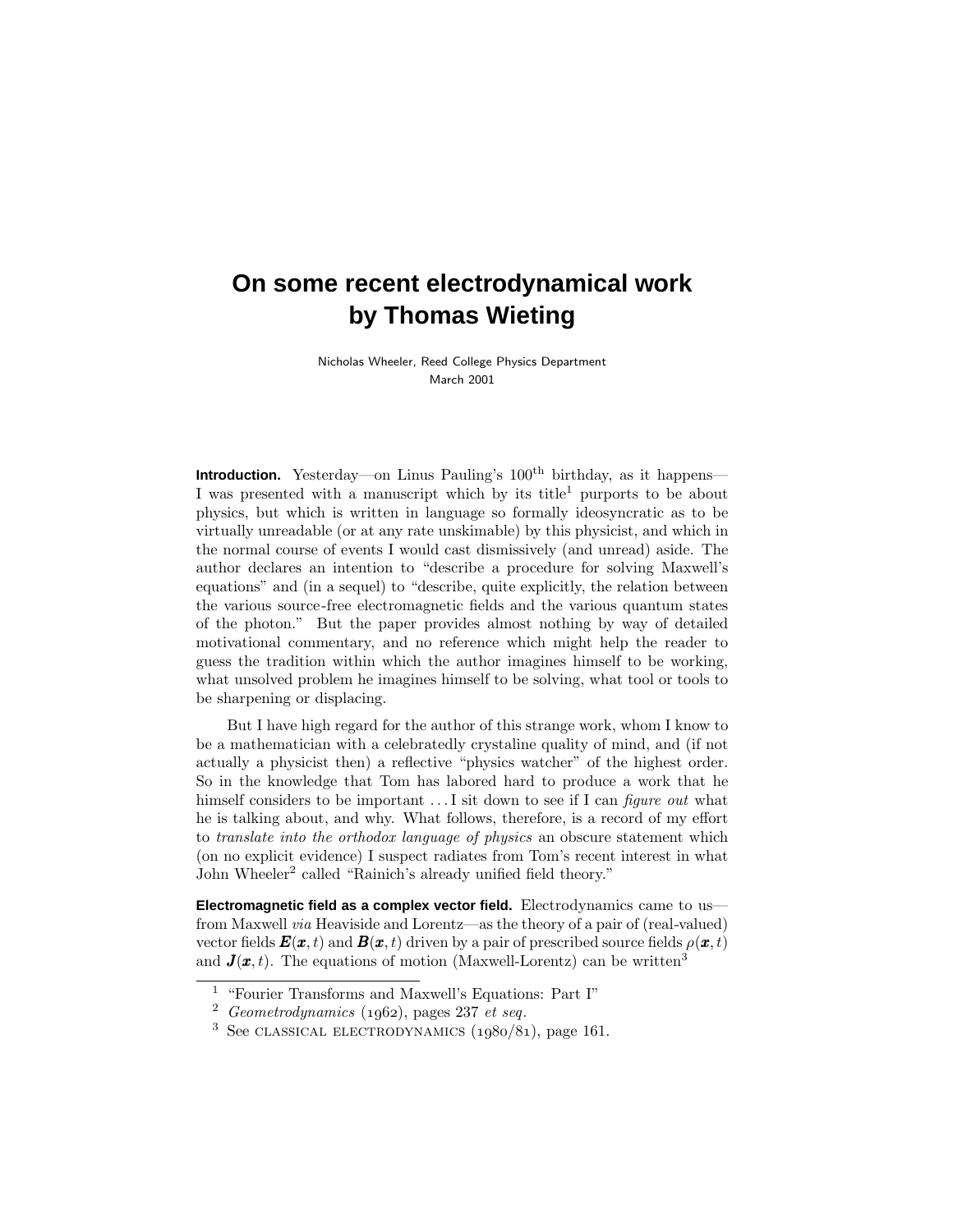# **On some recent electrodynamical work by Thomas Wieting**

Nicholas Wheeler, Reed College Physics Department March 2001

**Introduction.** Yesterday—on Linus Pauling's 100<sup>th</sup> birthday, as it happens— I was presented with a manuscript which by its title<sup>1</sup> purports to be about physics, but which is written in language so formally ideosyncratic as to be virtually unreadable (or at any rate unskimable) by this physicist, and which in the normal course of events I would cast dismissively (and unread) aside. The author declares an intention to "describe a procedure for solving Maxwell's equations" and (in a sequel) to "describe, quite explicitly, the relation between the various source-free electromagnetic fields and the various quantum states of the photon." But the paper provides almost nothing by way of detailed motivational commentary, and no reference which might help the reader to guess the tradition within which the author imagines himself to be working, what unsolved problem he imagines himself to be solving, what tool or tools to be sharpening or displacing.

But I have high regard for the author of this strange work, whom I know to be a mathematician with a celebratedly crystaline quality of mind, and (if not actually a physicist then) a reflective "physics watcher" of the highest order. So in the knowledge that Tom has labored hard to produce a work that he himself considers to be important ... I sit down to see if I can *figure out* what he is talking about, and why. What follows, therefore, is a record of my effort to translate into the orthodox language of physics an obscure statement which (on no explicit evidence) I suspect radiates from Tom's recent interest in what John Wheeler<sup>2</sup> called "Rainich's already unified field theory."

**Electromagnetic field as a complex vector field.** Electrodynamics came to us from Maxwell via Heaviside and Lorentz—as the theory of a pair of (real-valued) vector fields  $\mathbf{E}(\mathbf{x},t)$  and  $\mathbf{B}(\mathbf{x},t)$  driven by a pair of prescribed source fields  $\rho(\mathbf{x},t)$ and  $J(x, t)$ . The equations of motion (Maxwell-Lorentz) can be written<sup>3</sup>

<sup>1</sup> "Fourier Transforms and Maxwell's Equations: Part I"

<sup>&</sup>lt;sup>2</sup> Geometrodynamics  $(1962)$ , pages 237 et seq.

<sup>&</sup>lt;sup>3</sup> See CLASSICAL ELECTRODYNAMICS  $(1980/81)$ , page 161.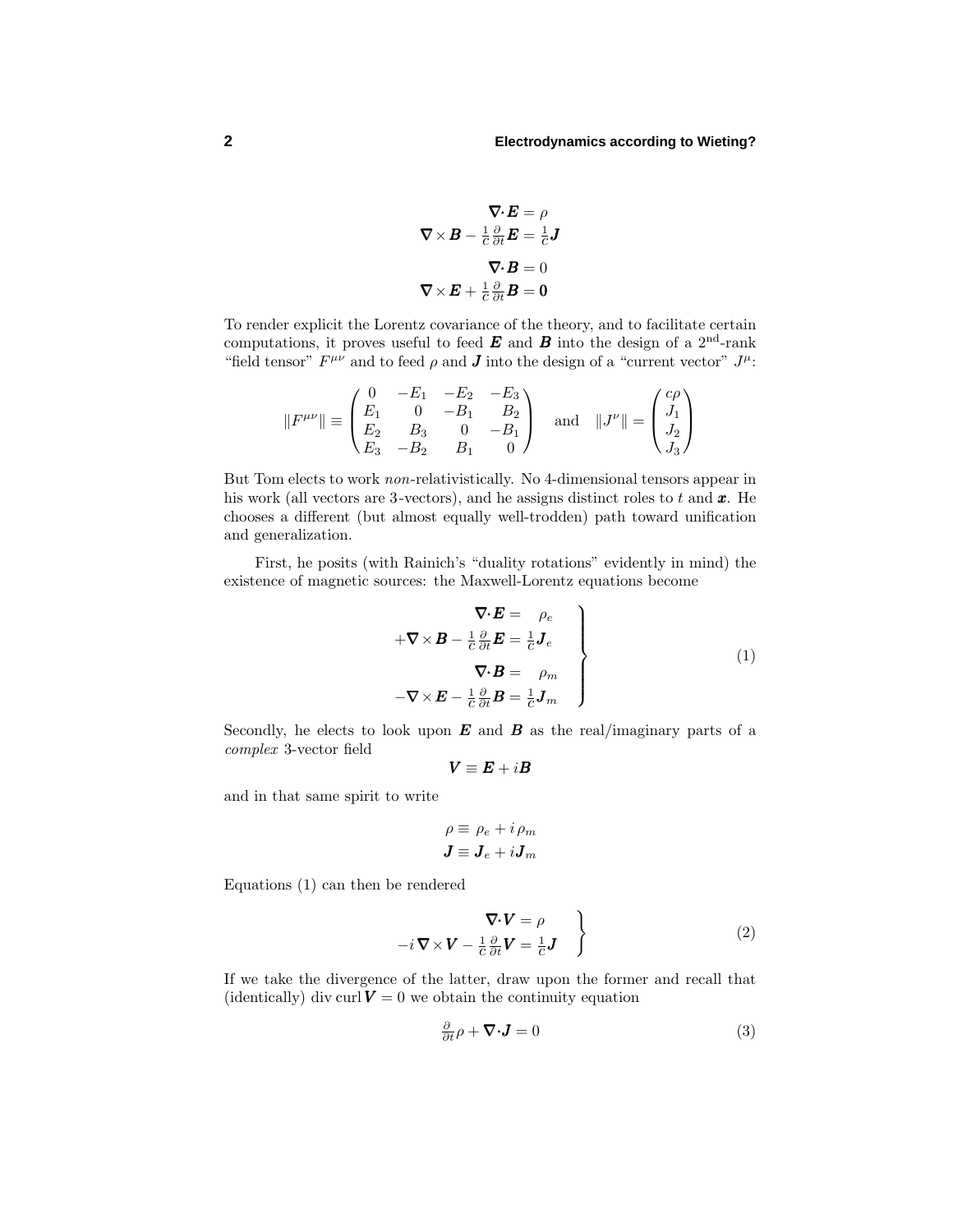$$
\nabla \cdot \boldsymbol{E} = \rho
$$
  

$$
\nabla \times \boldsymbol{B} - \frac{1}{c} \frac{\partial}{\partial t} \boldsymbol{E} = \frac{1}{c} \boldsymbol{J}
$$
  

$$
\nabla \cdot \boldsymbol{B} = 0
$$
  

$$
\nabla \times \boldsymbol{E} + \frac{1}{c} \frac{\partial}{\partial t} \boldsymbol{B} = 0
$$

To render explicit the Lorentz covariance of the theory, and to facilitate certain computations, it proves useful to feed  $\vec{E}$  and  $\vec{B}$  into the design of a 2<sup>nd</sup>-rank "field tensor"  $F^{\mu\nu}$  and to feed  $\rho$  and **J** into the design of a "current vector"  $J^{\mu}$ :

$$
||F^{\mu\nu}|| \equiv \begin{pmatrix} 0 & -E_1 & -E_2 & -E_3 \ E_1 & 0 & -B_1 & B_2 \ E_2 & B_3 & 0 & -B_1 \ E_3 & -B_2 & B_1 & 0 \end{pmatrix} \text{ and } ||J^{\nu}|| = \begin{pmatrix} c\rho \\ J_1 \\ J_2 \\ J_3 \end{pmatrix}
$$

But Tom elects to work non-relativistically. No 4-dimensional tensors appear in his work (all vectors are 3-vectors), and he assigns distinct roles to *t* and *x*. He chooses a different (but almost equally well-trodden) path toward unification and generalization.

First, he posits (with Rainich's "duality rotations" evidently in mind) the existence of magnetic sources: the Maxwell-Lorentz equations become

$$
\nabla \cdot \mathbf{E} = \rho_e
$$
\n
$$
+\nabla \times \mathbf{B} - \frac{1}{c} \frac{\partial}{\partial t} \mathbf{E} = \frac{1}{c} \mathbf{J}_e
$$
\n
$$
\nabla \cdot \mathbf{B} = \rho_m
$$
\n
$$
-\nabla \times \mathbf{E} - \frac{1}{c} \frac{\partial}{\partial t} \mathbf{B} = \frac{1}{c} \mathbf{J}_m
$$
\n(1)

Secondly, he elects to look upon  $\vec{E}$  and  $\vec{B}$  as the real/imaginary parts of a complex 3-vector field

$$
\bm{V} \equiv \bm{E} + i \bm{B}
$$

and in that same spirit to write

$$
\rho \equiv \rho_e + i \rho_m
$$
  

$$
\mathbf{J} \equiv \mathbf{J}_e + i \mathbf{J}_m
$$

Equations (1) can then be rendered

$$
\nabla \cdot \mathbf{V} = \rho
$$
  
-*i*  $\nabla \times \mathbf{V} - \frac{1}{c} \frac{\partial}{\partial t} \mathbf{V} = \frac{1}{c} \mathbf{J}$  (2)

If we take the divergence of the latter, draw upon the former and recall that (identically) div curl  $V = 0$  we obtain the continuity equation

$$
\frac{\partial}{\partial t}\rho + \nabla \cdot \mathbf{J} = 0 \tag{3}
$$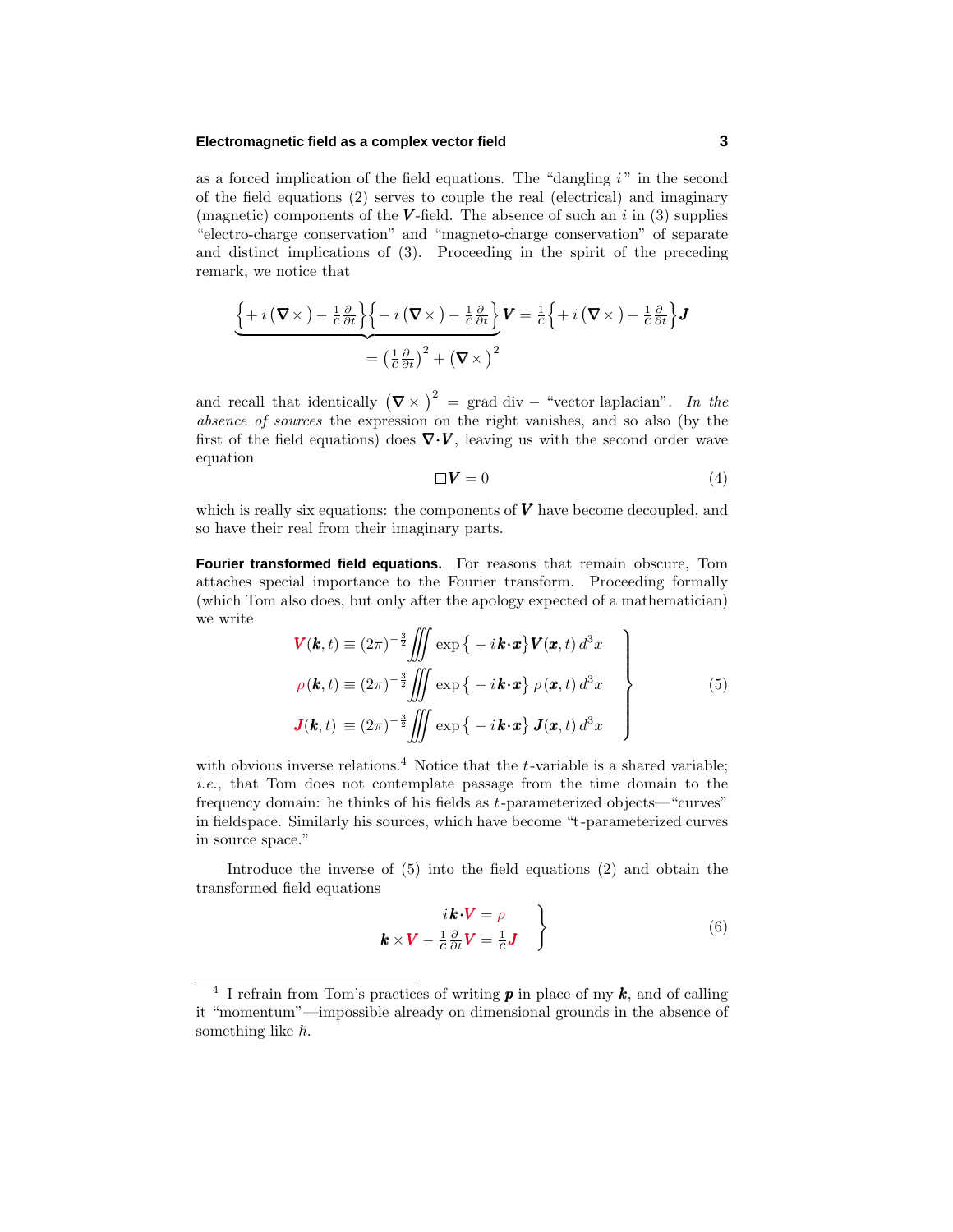## **Electromagnetic field as a complex vector field 3**

as a forced implication of the field equations. The "dangling *i* " in the second of the field equations (2) serves to couple the real (electrical) and imaginary (magnetic) components of the **V**-field. The absence of such an  $i$  in (3) supplies "electro-charge conservation" and "magneto-charge conservation" of separate and distinct implications of (3). Proceeding in the spirit of the preceding remark, we notice that

$$
\underbrace{\left\{+i\left(\nabla\times\right)-\frac{1}{c}\frac{\partial}{\partial t}\right\}}_{\equiv\left(\frac{1}{c}\frac{\partial}{\partial t}\right)^{2}+\left(\nabla\times\right)-\frac{1}{c}\frac{\partial}{\partial t}\right\}}_{\equiv\left(\frac{1}{c}\frac{\partial}{\partial t}\right)^{2}+\left(\nabla\times\right)^{2}}
$$

and recall that identically  $(\nabla \times)^2$  = grad div – "vector laplacian". In the absence of sources the expression on the right vanishes, and so also (by the first of the field equations) does  $\nabla \cdot V$ , leaving us with the second order wave equation

$$
\Box \mathbf{V} = 0 \tag{4}
$$

which is really six equations: the components of  $V$  have become decoupled, and so have their real from their imaginary parts.

**Fourier transformed field equations.** For reasons that remain obscure, Tom attaches special importance to the Fourier transform. Proceeding formally (which Tom also does, but only after the apology expected of a mathematician) we write

$$
\mathbf{V}(\mathbf{k},t) \equiv (2\pi)^{-\frac{3}{2}} \iiint \exp\left\{-i\mathbf{k}\cdot\mathbf{x}\right\} \mathbf{V}(\mathbf{x},t) d^3x
$$
\n
$$
\rho(\mathbf{k},t) \equiv (2\pi)^{-\frac{3}{2}} \iiint \exp\left\{-i\mathbf{k}\cdot\mathbf{x}\right\} \rho(\mathbf{x},t) d^3x
$$
\n
$$
\mathbf{J}(\mathbf{k},t) \equiv (2\pi)^{-\frac{3}{2}} \iiint \exp\left\{-i\mathbf{k}\cdot\mathbf{x}\right\} \mathbf{J}(\mathbf{x},t) d^3x
$$
\n(5)

with obvious inverse relations.<sup>4</sup> Notice that the  $t$ -variable is a shared variable; i.e., that Tom does not contemplate passage from the time domain to the frequency domain: he thinks of his fields as *t*-parameterized objects—"curves" in fieldspace. Similarly his sources, which have become "t-parameterized curves in source space."

Introduce the inverse of (5) into the field equations (2) and obtain the transformed field equations

$$
i\mathbf{k} \cdot \mathbf{V} = \rho
$$
  

$$
\mathbf{k} \times \mathbf{V} - \frac{1}{c} \frac{\partial}{\partial t} \mathbf{V} = \frac{1}{c} \mathbf{J}
$$
 (6)

<sup>4</sup> I refrain from Tom's practices of writing *p* in place of my *k*, and of calling it "momentum"—impossible already on dimensional grounds in the absence of something like  $\hbar$ .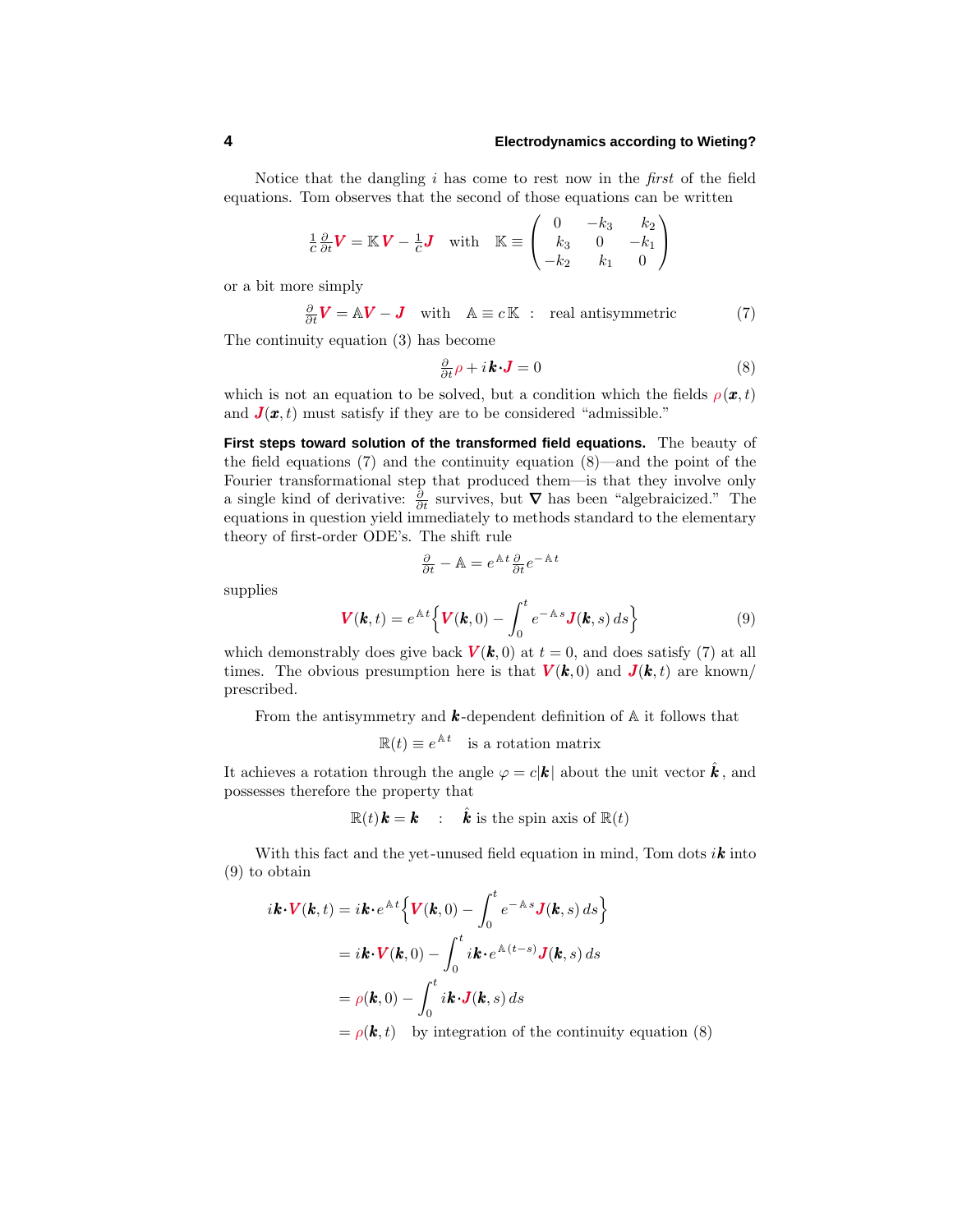Notice that the dangling *i* has come to rest now in the first of the field equations. Tom observes that the second of those equations can be written

$$
\frac{1}{c}\frac{\partial}{\partial t}\mathbf{V} = \mathbb{K}\mathbf{V} - \frac{1}{c}\mathbf{J} \quad \text{with} \quad \mathbb{K} \equiv \begin{pmatrix} 0 & -k_3 & k_2 \\ k_3 & 0 & -k_1 \\ -k_2 & k_1 & 0 \end{pmatrix}
$$

or a bit more simply

$$
\frac{\partial}{\partial t} \mathbf{V} = \mathbf{A} \mathbf{V} - \mathbf{J} \quad \text{with} \quad \mathbf{A} \equiv c \mathbb{K} \; : \; \text{real antisymmetric} \tag{7}
$$

The continuity equation (3) has become

$$
\frac{\partial}{\partial t}\rho + i\mathbf{k} \cdot \mathbf{J} = 0 \tag{8}
$$

which is not an equation to be solved, but a condition which the fields  $\rho(\mathbf{x}, t)$ and  $J(x, t)$  must satisfy if they are to be considered "admissible."

**First steps toward solution of the transformed field equations.** The beauty of the field equations (7) and the continuity equation (8)—and the point of the Fourier transformational step that produced them—is that they involve only a single kind of derivative: *<sup>∂</sup> ∂t* survives, but ∇ has been "algebraicized." The equations in question yield immediately to methods standard to the elementary theory of first-order ODE's. The shift rule

$$
\frac{\partial}{\partial t} - \mathbb{A} = e^{\mathbb{A}t} \frac{\partial}{\partial t} e^{-\mathbb{A}t}
$$

supplies

$$
\boldsymbol{V}(\boldsymbol{k},t) = e^{\mathbb{A}t} \Big\{ \boldsymbol{V}(\boldsymbol{k},0) - \int_0^t e^{-\mathbb{A}s} \boldsymbol{J}(\boldsymbol{k},s) \, ds \Big\} \tag{9}
$$

which demonstrably does give back  $V(k, 0)$  at  $t = 0$ , and does satisfy (7) at all times. The obvious presumption here is that  $V(k, 0)$  and  $J(k, t)$  are known/ prescribed.

From the antisymmetry and **k**-dependent definition of A it follows that

 $\mathbb{R}(t) \equiv e^{\mathbb{A}t}$  is a rotation matrix

It achieves a rotation through the angle  $\varphi = c|\boldsymbol{k}|$  about the unit vector  $\hat{\boldsymbol{k}}$ , and possesses therefore the property that

$$
\mathbb{R}(t) \mathbf{k} = \mathbf{k} \quad : \quad \hat{\mathbf{k}} \text{ is the spin axis of } \mathbb{R}(t)
$$

With this fact and the yet-unused field equation in mind, Tom dots *ik* into (9) to obtain

$$
i\mathbf{k} \cdot \mathbf{V}(\mathbf{k}, t) = i\mathbf{k} \cdot e^{\mathbb{A}t} \Big\{ \mathbf{V}(\mathbf{k}, 0) - \int_0^t e^{-\mathbb{A}s} \mathbf{J}(\mathbf{k}, s) ds \Big\}
$$
  
=  $i\mathbf{k} \cdot \mathbf{V}(\mathbf{k}, 0) - \int_0^t i\mathbf{k} \cdot e^{\mathbb{A}(t-s)} \mathbf{J}(\mathbf{k}, s) ds$   
=  $\rho(\mathbf{k}, 0) - \int_0^t i\mathbf{k} \cdot \mathbf{J}(\mathbf{k}, s) ds$   
=  $\rho(\mathbf{k}, t)$  by integration of the continuity equation (8)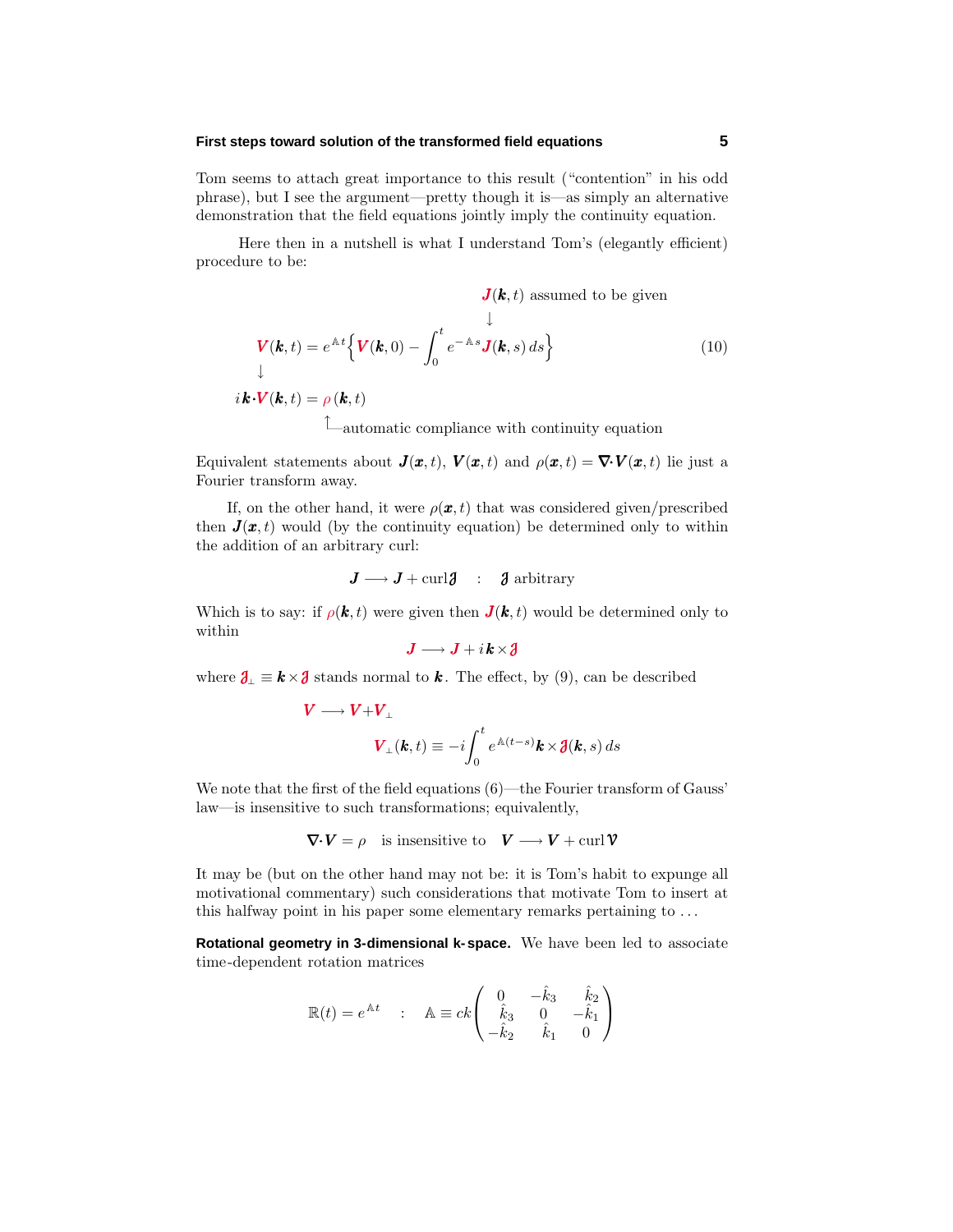## **First steps toward solution of the transformed field equations 5**

Tom seems to attach great importance to this result ("contention" in his odd phrase), but I see the argument—pretty though it is—as simply an alternative demonstration that the field equations jointly imply the continuity equation.

Here then in a nutshell is what I understand Tom's (elegantly efficient) procedure to be:

$$
\mathbf{J}(\mathbf{k},t) \text{ assumed to be given}
$$
\n
$$
\mathbf{V}(\mathbf{k},t) = e^{\mathbb{A}t} \left\{ \mathbf{V}(\mathbf{k},0) - \int_0^t e^{-\mathbb{A}s} \mathbf{J}(\mathbf{k},s) \, ds \right\}
$$
\n
$$
(10)
$$

 $i\mathbf{k} \cdot \mathbf{V}(\mathbf{k}, t) = \rho(\mathbf{k}, t)$ 

↑ —automatic compliance with continuity equation

Equivalent statements about  $\bm{J}(\bm{x}, t)$ ,  $\bm{V}(\bm{x}, t)$  and  $\rho(\bm{x}, t) = \nabla \bm{V}(\bm{x}, t)$  lie just a Fourier transform away.

If, on the other hand, it were  $\rho(\mathbf{x}, t)$  that was considered given/prescribed then  $J(x, t)$  would (by the continuity equation) be determined only to within the addition of an arbitrary curl:

$$
J \longrightarrow J + \text{curl} \mathcal{J} \quad : \quad \mathcal{J} \text{ arbitrary}
$$

Which is to say: if  $\rho(\mathbf{k}, t)$  were given then  $\mathbf{J}(\mathbf{k}, t)$  would be determined only to within

$$
\boldsymbol{J}\longrightarrow\boldsymbol{J}+i\boldsymbol{k}\times\boldsymbol{\mathcal{J}}
$$

where  $\mathbf{J}_\perp \equiv \mathbf{k} \times \mathbf{j}$  stands normal to  $\mathbf{k}$ . The effect, by (9), can be described

$$
\mathbf{V} \longrightarrow \mathbf{V} + \mathbf{V}_{\perp}
$$

$$
\mathbf{V}_{\perp}(\mathbf{k}, t) \equiv -i \int_{0}^{t} e^{\mathbb{A}(t-s)} \mathbf{k} \times \mathbf{J}(\mathbf{k}, s) ds
$$

We note that the first of the field equations  $(6)$ —the Fourier transform of Gauss' law—is insensitive to such transformations; equivalently,

$$
\nabla \cdot \mathbf{V} = \rho \quad \text{is insensitive to} \quad \mathbf{V} \longrightarrow \mathbf{V} + \text{curl } \mathbf{V}
$$

It may be (but on the other hand may not be: it is Tom's habit to expunge all motivational commentary) such considerations that motivate Tom to insert at this halfway point in his paper some elementary remarks pertaining to *...*

**Rotational geometry in 3-dimensional k-space.** We have been led to associate time-dependent rotation matrices

$$
\mathbb{R}(t) = e^{\mathbb{A}t} \quad : \quad \mathbb{A} \equiv ck \begin{pmatrix} 0 & -\hat{k}_3 & \hat{k}_2 \\ \hat{k}_3 & 0 & -\hat{k}_1 \\ -\hat{k}_2 & \hat{k}_1 & 0 \end{pmatrix}
$$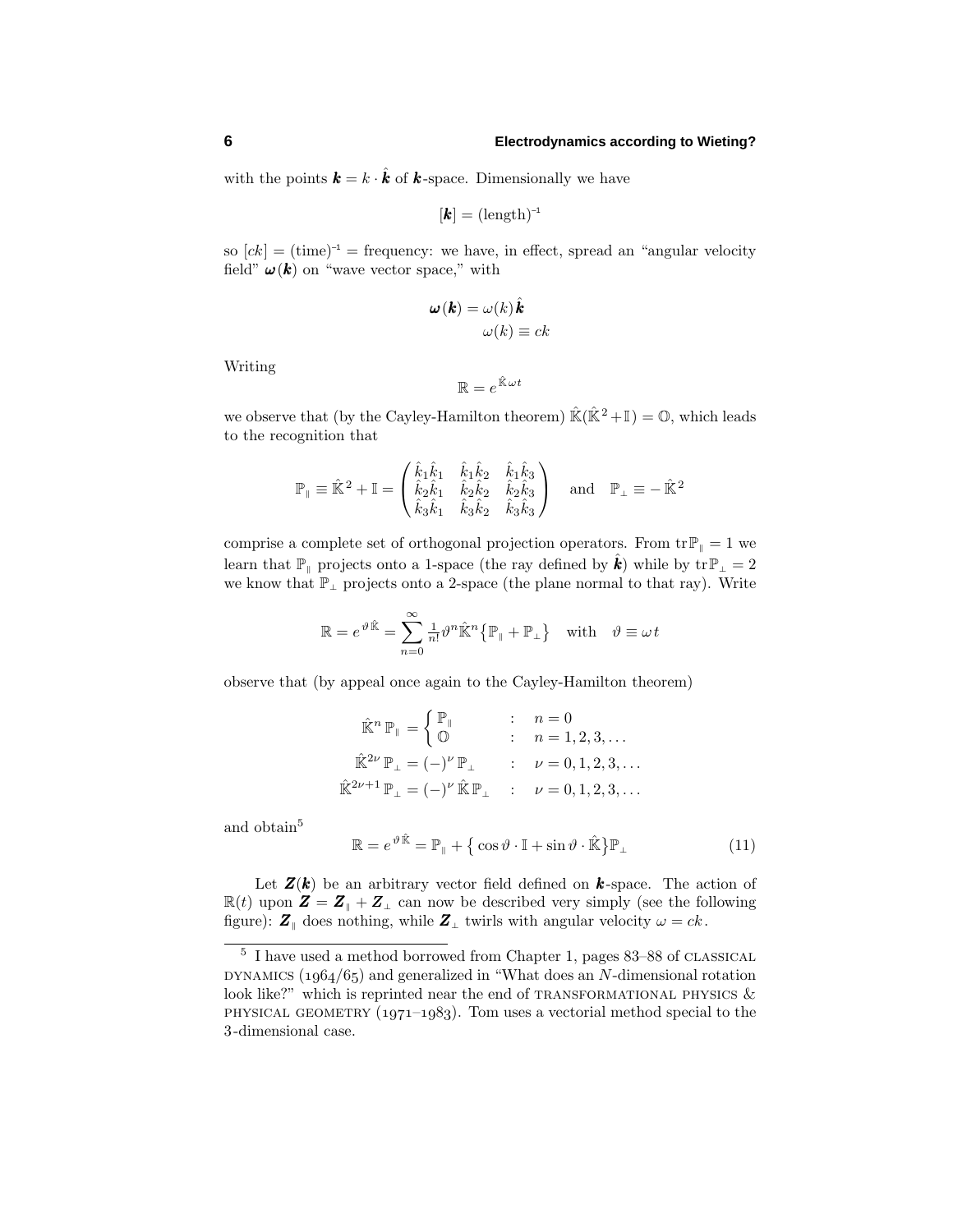with the points  $\mathbf{k} = k \cdot \hat{\mathbf{k}}$  of  $\mathbf{k}$ -space. Dimensionally we have

$$
[\boldsymbol{k}] = (\mathrm{length})^{-1}
$$

so  $[ck] = (time)^{-1}$  = frequency: we have, in effect, spread an "angular velocity field"  $\boldsymbol{\omega}(\boldsymbol{k})$  on "wave vector space," with

$$
\boldsymbol{\omega}(\boldsymbol{k}) = \omega(k)\hat{\boldsymbol{k}}
$$

$$
\omega(k) \equiv ck
$$

Writing

$$
\mathbb{R} = e^{\hat{\mathbb{K}} \omega t}
$$

we observe that (by the Cayley-Hamilton theorem)  $\mathbb{R}(\mathbb{R}^2 + \mathbb{I}) = \mathbb{O}$ , which leads to the recognition that

$$
\mathbb{P}_{\mathbb{I}} \equiv \hat{\mathbb{K}}^2 + \mathbb{I} = \begin{pmatrix} \hat{k}_1 \hat{k}_1 & \hat{k}_1 \hat{k}_2 & \hat{k}_1 \hat{k}_3 \\ \hat{k}_2 \hat{k}_1 & \hat{k}_2 \hat{k}_2 & \hat{k}_2 \hat{k}_3 \\ \hat{k}_3 \hat{k}_1 & \hat{k}_3 \hat{k}_2 & \hat{k}_3 \hat{k}_3 \end{pmatrix} \quad \text{and} \quad \mathbb{P}_{\perp} \equiv -\hat{\mathbb{K}}^2
$$

comprise a complete set of orthogonal projection operators. From  ${\rm tr}\, \mathbb{P}_{\parallel}=1$  we learn that  $\mathbb{P}_\parallel$  projects onto a 1-space (the ray defined by  $\hat{\boldsymbol{k}}$ ) while by  $\mathrm{tr}\mathbb{P}_\perp=2$ we know that  $\mathbb{P}_\perp$  projects onto a 2-space (the plane normal to that ray). Write

$$
\mathbb{R} = e^{\vartheta \hat{\mathbb{K}}} = \sum_{n=0}^{\infty} \frac{1}{n!} \vartheta^n \hat{\mathbb{K}}^n \{ \mathbb{P}_{\mathbb{I}} + \mathbb{P}_{\mathbb{I}} \} \quad \text{with} \quad \vartheta \equiv \omega t
$$

observe that (by appeal once again to the Cayley-Hamilton theorem)

$$
\hat{\mathbb{K}}^n \mathbb{P}_{\parallel} = \begin{cases} \mathbb{P}_{\parallel} & : n = 0 \\ \mathbb{O} & : n = 1, 2, 3, \dots \end{cases}
$$

$$
\hat{\mathbb{K}}^{2\nu} \mathbb{P}_{\perp} = (-)^{\nu} \mathbb{P}_{\perp} & : \nu = 0, 1, 2, 3, \dots
$$

$$
\hat{\mathbb{K}}^{2\nu+1} \mathbb{P}_{\perp} = (-)^{\nu} \hat{\mathbb{K}} \mathbb{P}_{\perp} & : \nu = 0, 1, 2, 3, \dots
$$

and obtain<sup>5</sup>

$$
\mathbb{R} = e^{\vartheta \hat{\mathbb{K}}} = \mathbb{P}_{\mathbb{I}} + \left\{ \cos \vartheta \cdot \mathbb{I} + \sin \vartheta \cdot \hat{\mathbb{K}} \right\} \mathbb{P}_{\mathbb{I}} \tag{11}
$$

Let  $Z(k)$  be an arbitrary vector field defined on  $k$ -space. The action of  $\mathbb{R}(t)$  upon  $\mathbf{Z} = \mathbf{Z}_{\parallel} + \mathbf{Z}_{\perp}$  can now be described very simply (see the following figure):  $\mathbf{Z}_{\parallel}$  does nothing, while  $\mathbf{Z}_{\perp}$  twirls with angular velocity  $\omega = ck$ .

 $\frac{5}{1}$  I have used a method borrowed from Chapter 1, pages 83–88 of CLASSICAL DYNAMICS  $(1964/65)$  and generalized in "What does an *N*-dimensional rotation look like?" which is reprinted near the end of TRANSFORMATIONAL PHYSICS  $&$ PHYSICAL GEOMETRY  $(1971-1983)$ . Tom uses a vectorial method special to the 3-dimensional case.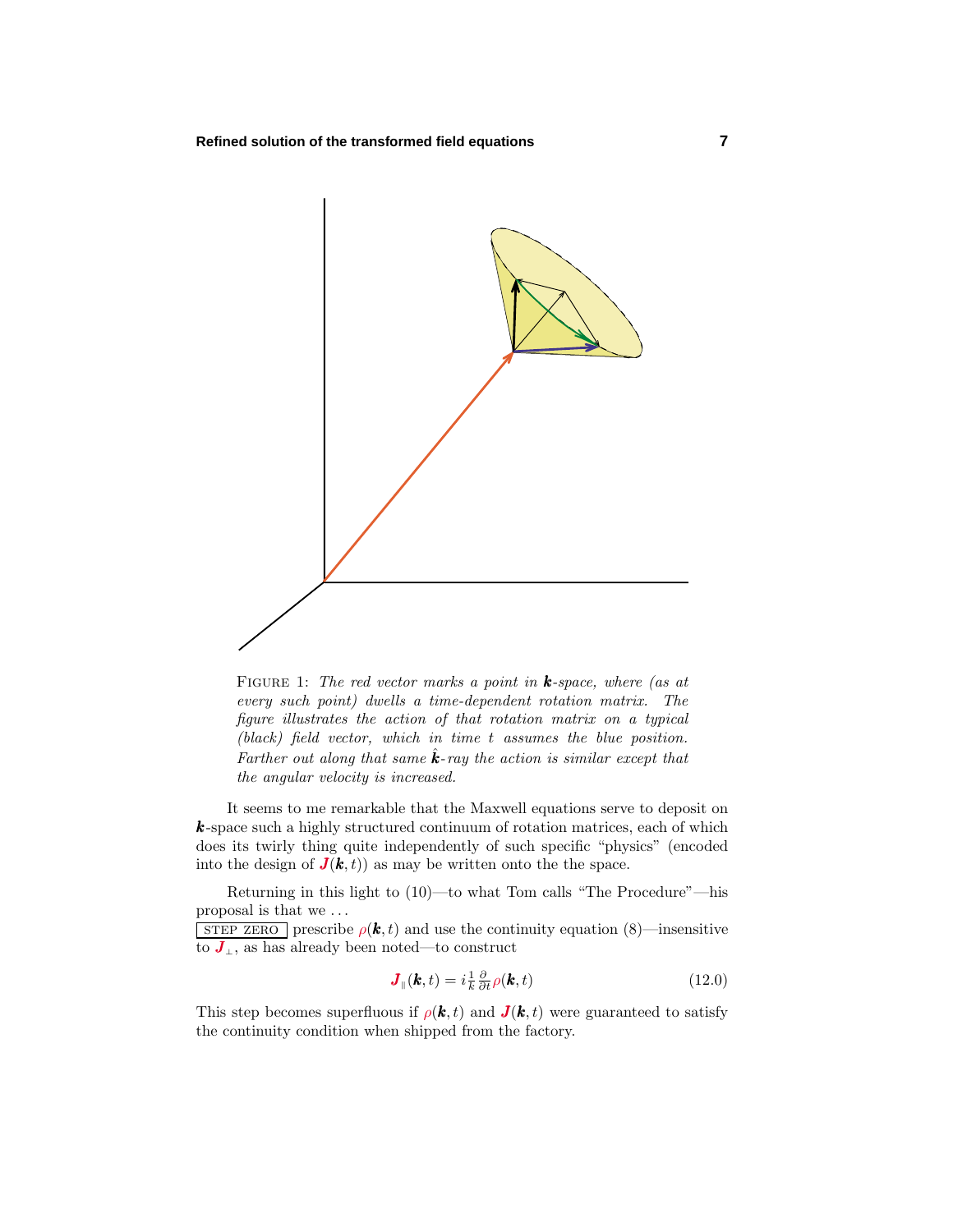

Figure 1: The red vector marks a point in *k*-space, where (as at every such point) dwells a time-dependent rotation matrix. The figure illustrates the action of that rotation matrix on a typical (black) field vector, which in time *t* assumes the blue position. Farther out along that same  $\hat{k}$ -ray the action is similar except that the angular velocity is increased.

It seems to me remarkable that the Maxwell equations serve to deposit on *k* -space such a highly structured continuum of rotation matrices, each of which does its twirly thing quite independently of such specific "physics" (encoded into the design of  $J(k, t)$  as may be written onto the the space.

Returning in this light to (10)—to what Tom calls "The Procedure"—his proposal is that we *...*

STEP ZERO prescribe  $\rho(\mathbf{k}, t)$  and use the continuity equation (8)—insensitive to  $\pmb{J}_\perp,$  as has already been noted—to construct

$$
\mathbf{J}_{\parallel}(\mathbf{k},t) = i \frac{1}{k} \frac{\partial}{\partial t} \rho(\mathbf{k},t)
$$
\n(12.0)

This step becomes superfluous if  $\rho(\mathbf{k}, t)$  and  $\mathbf{J}(\mathbf{k}, t)$  were guaranteed to satisfy the continuity condition when shipped from the factory.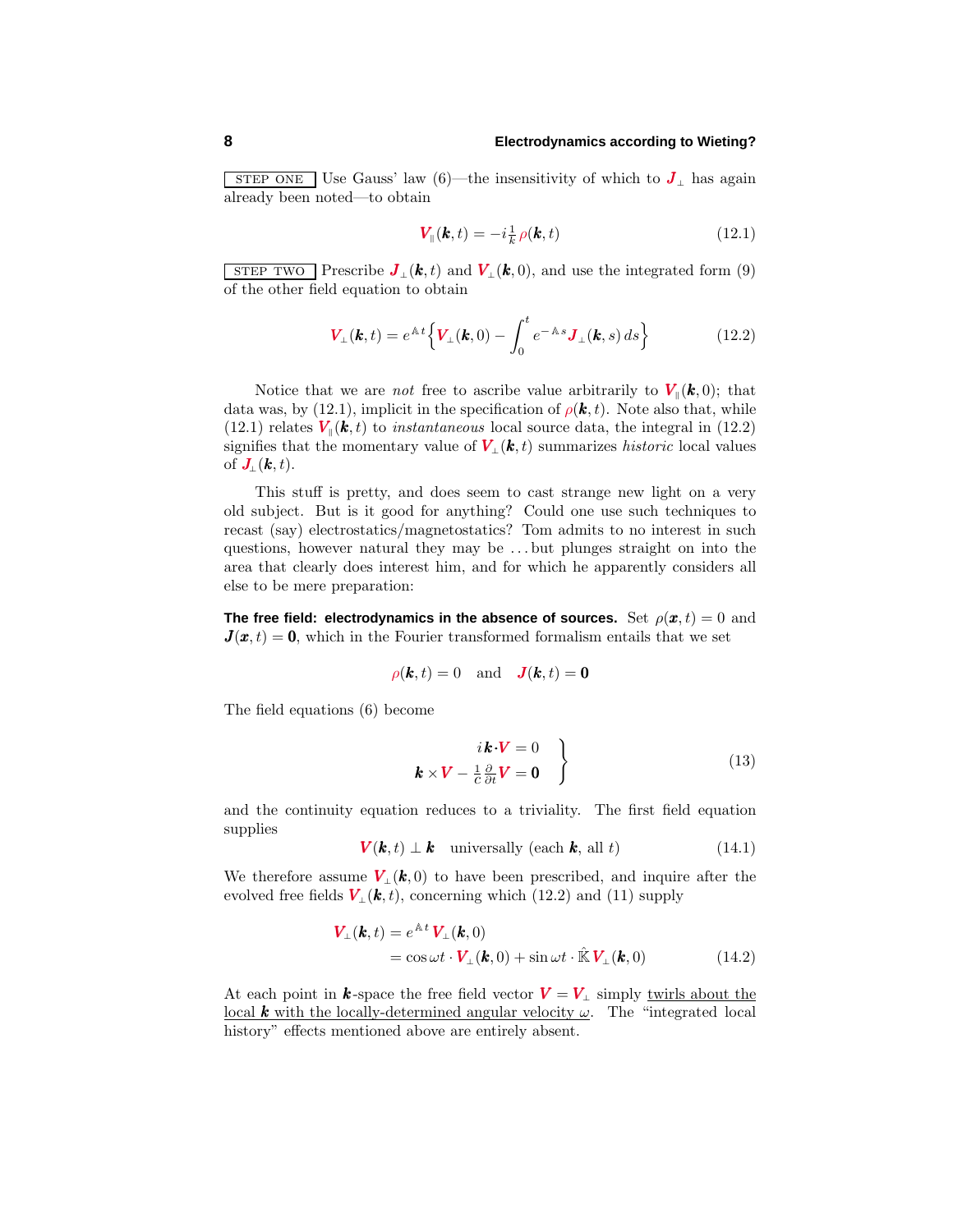**STEP ONE** Use Gauss' law (6)—the insensitivity of which to  $J_{\perp}$  has again already been noted—to obtain

$$
\mathbf{V}_{\parallel}(\mathbf{k},t) = -i\frac{1}{k}\rho(\mathbf{k},t)
$$
\n(12.1)

**STEP TWO** Prescribe  $J_{\perp}(\mathbf{k}, t)$  and  $V_{\perp}(\mathbf{k}, 0)$ , and use the integrated form (9) of the other field equation to obtain

$$
\boldsymbol{V}_{\perp}(\boldsymbol{k},t) = e^{\mathbb{A}t} \left\{ \boldsymbol{V}_{\perp}(\boldsymbol{k},0) - \int_0^t e^{-\mathbb{A}s} \boldsymbol{J}_{\perp}(\boldsymbol{k},s) \, ds \right\} \tag{12.2}
$$

Notice that we are *not* free to ascribe value arbitrarily to  $V_{\parallel}(\boldsymbol{k}, 0)$ ; that data was, by (12.1), implicit in the specification of  $\rho(\mathbf{k}, t)$ . Note also that, while  $(12.1)$  relates  $\mathbf{V}_{\parallel}(\mathbf{k}, t)$  to *instantaneous* local source data, the integral in (12.2) signifies that the momentary value of  $V_{\perp}(\mathbf{k}, t)$  summarizes *historic* local values of  $J_{\perp}(\boldsymbol{k},t)$ .

This stuff is pretty, and does seem to cast strange new light on a very old subject. But is it good for anything? Could one use such techniques to recast (say) electrostatics/magnetostatics? Tom admits to no interest in such questions, however natural they may be *...* but plunges straight on into the area that clearly does interest him, and for which he apparently considers all else to be mere preparation:

**The free field: electrodynamics in the absence of sources.** Set  $\rho(\mathbf{x}, t) = 0$  and  $J(\mathbf{x}, t) = \mathbf{0}$ , which in the Fourier transformed formalism entails that we set

$$
\rho(\boldsymbol{k},t) = 0 \quad \text{and} \quad \boldsymbol{J}(\boldsymbol{k},t) = \boldsymbol{0}
$$

The field equations (6) become

$$
i\mathbf{k} \cdot \mathbf{V} = 0 \qquad \qquad (13)
$$
\n
$$
\mathbf{k} \times \mathbf{V} - \frac{1}{c} \frac{\partial}{\partial t} \mathbf{V} = \mathbf{0}
$$

and the continuity equation reduces to a triviality. The first field equation supplies

$$
\mathbf{V}(\mathbf{k},t) \perp \mathbf{k} \quad \text{universally (each } \mathbf{k}, \text{ all } t) \tag{14.1}
$$

We therefore assume  $V_{\perp}(\mathbf{k},0)$  to have been prescribed, and inquire after the evolved free fields  $V_{\perp}(\mathbf{k}, t)$ , concerning which (12.2) and (11) supply

$$
\mathbf{V}_{\perp}(\mathbf{k},t) = e^{\mathbb{A}t} \mathbf{V}_{\perp}(\mathbf{k},0)
$$
  
= cos \omega t \cdot \mathbf{V}\_{\perp}(\mathbf{k},0) + sin \omega t \cdot \mathbb{\hat{K}} \mathbf{V}\_{\perp}(\mathbf{k},0) (14.2)

At each point in *k*-space the free field vector  $V = V_{\perp}$  simply twirls about the local **k** with the locally-determined angular velocity  $\omega$ . The "integrated local history" effects mentioned above are entirely absent.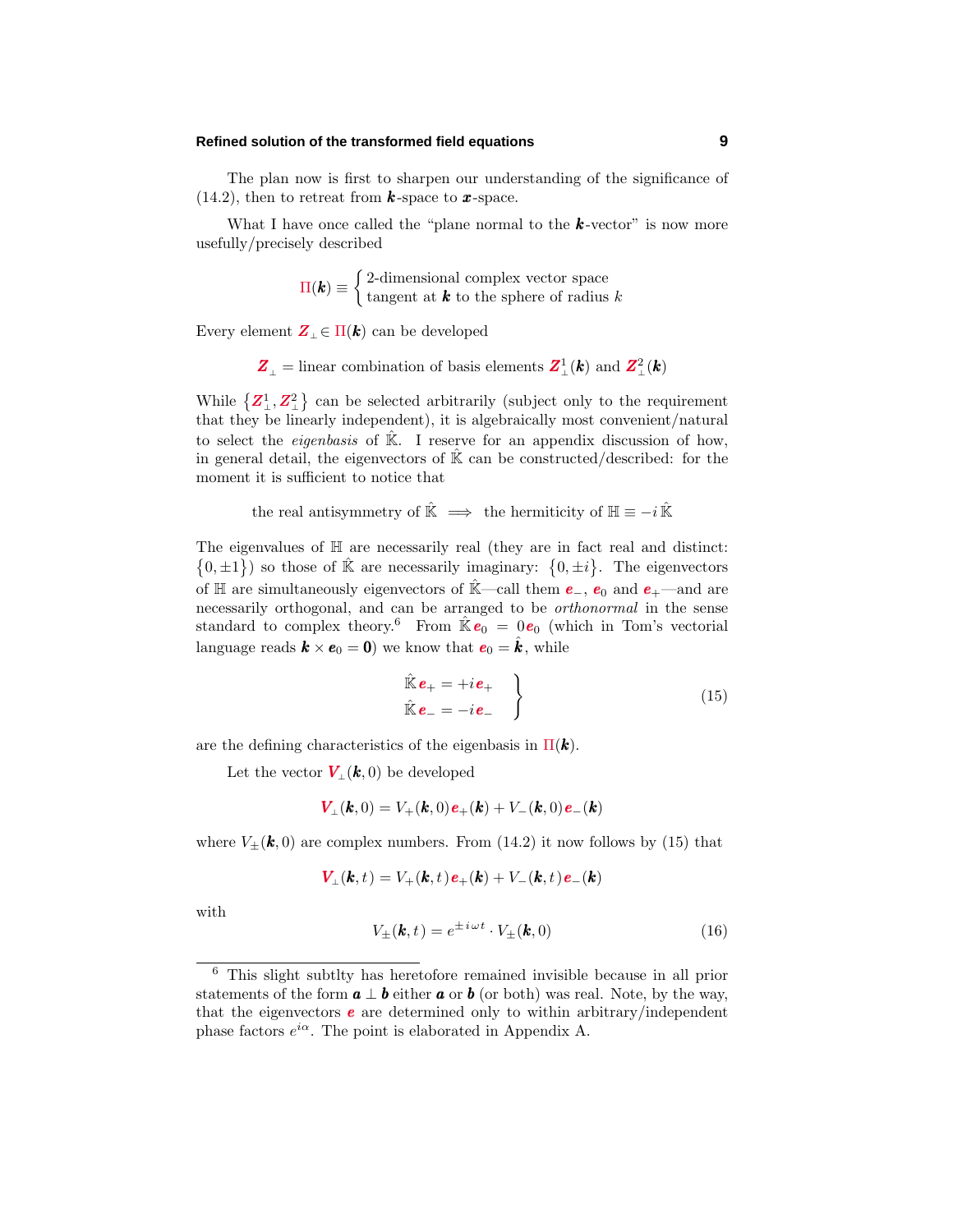## **Refined solution of the transformed field equations 9**

The plan now is first to sharpen our understanding of the significance of  $(14.2)$ , then to retreat from **k**-space to **x**-space.

What I have once called the "plane normal to the **k**-vector" is now more usefully/precisely described

$$
\Pi(\mathbf{k}) \equiv \begin{cases} 2\text{-dimensional complex vector space} \\ \text{tangent at } \mathbf{k} \text{ to the sphere of radius } k \end{cases}
$$

Every element  $\mathbf{Z}_{\perp} \in \Pi(k)$  can be developed

*Z*<sub>⊥</sub> = linear combination of basis elements  $Z^1_{\perp}(\mathbf{k})$  and  $Z^2_{\perp}(\mathbf{k})$ 

While  $\{Z_{\perp}^1, Z_{\perp}^2\}$  can be selected arbitrarily (subject only to the requirement that they be linearly independent), it is algebraically most convenient/natural to select the *eigenbasis* of  $\hat{\mathbb{K}}$ . I reserve for an appendix discussion of how, in general detail, the eigenvectors of  $K$  can be constructed/described: for the moment it is sufficient to notice that

```
the real antisymmetry of \hat{\mathbb{K}} \implies the hermiticity of \mathbb{H} \equiv -i \hat{\mathbb{K}}
```
The eigenvalues of  $\mathbb H$  are necessarily real (they are in fact real and distinct:  $\{0, \pm 1\}$  so those of  $\hat{\mathbb{K}}$  are necessarily imaginary:  $\{0, \pm i\}$ . The eigenvectors of <sup>H</sup> are simultaneously eigenvectors of <sup>K</sup>ˆ—call them *<sup>e</sup>*−, *<sup>e</sup>*<sup>0</sup> and *<sup>e</sup>*+—and are necessarily orthogonal, and can be arranged to be orthonormal in the sense standard to complex theory.<sup>6</sup> From  $\mathbb{\hat{K}}e_0 = 0e_0$  (which in Tom's vectorial language reads  $\mathbf{k} \times \mathbf{e}_0 = \mathbf{0}$ ) we know that  $\mathbf{e}_0 = \hat{\mathbf{k}}$ , while

$$
\hat{\mathbb{K}}\boldsymbol{e}_{+} = +i\boldsymbol{e}_{+} \n\hat{\mathbb{K}}\boldsymbol{e}_{-} = -i\boldsymbol{e}_{-}
$$
\n(15)

are the defining characteristics of the eigenbasis in  $\Pi(\mathbf{k})$ .

Let the vector  $V_{\perp}(\mathbf{k},0)$  be developed

$$
V_{\perp}(\mathbf{k},0) = V_{+}(\mathbf{k},0)\,\mathbf{e}_{+}(\mathbf{k}) + V_{-}(\mathbf{k},0)\,\mathbf{e}_{-}(\mathbf{k})
$$

where  $V_{\pm}(\boldsymbol{k},0)$  are complex numbers. From (14.2) it now follows by (15) that

$$
V_{\perp}(\bm{k},t) = V_{+}(\bm{k},t) \,\bm{e}_{+}(\bm{k}) + V_{-}(\bm{k},t) \,\bm{e}_{-}(\bm{k})
$$

with

$$
V_{\pm}(\boldsymbol{k},t) = e^{\pm i \omega t} \cdot V_{\pm}(\boldsymbol{k},0)
$$
\n(16)

<sup>6</sup> This slight subtlty has heretofore remained invisible because in all prior statements of the form  $\boldsymbol{a} \perp \boldsymbol{b}$  either  $\boldsymbol{a}$  or  $\boldsymbol{b}$  (or both) was real. Note, by the way, that the eigenvectors *e* are determined only to within arbitrary/independent phase factors  $e^{i\alpha}$ . The point is elaborated in Appendix A.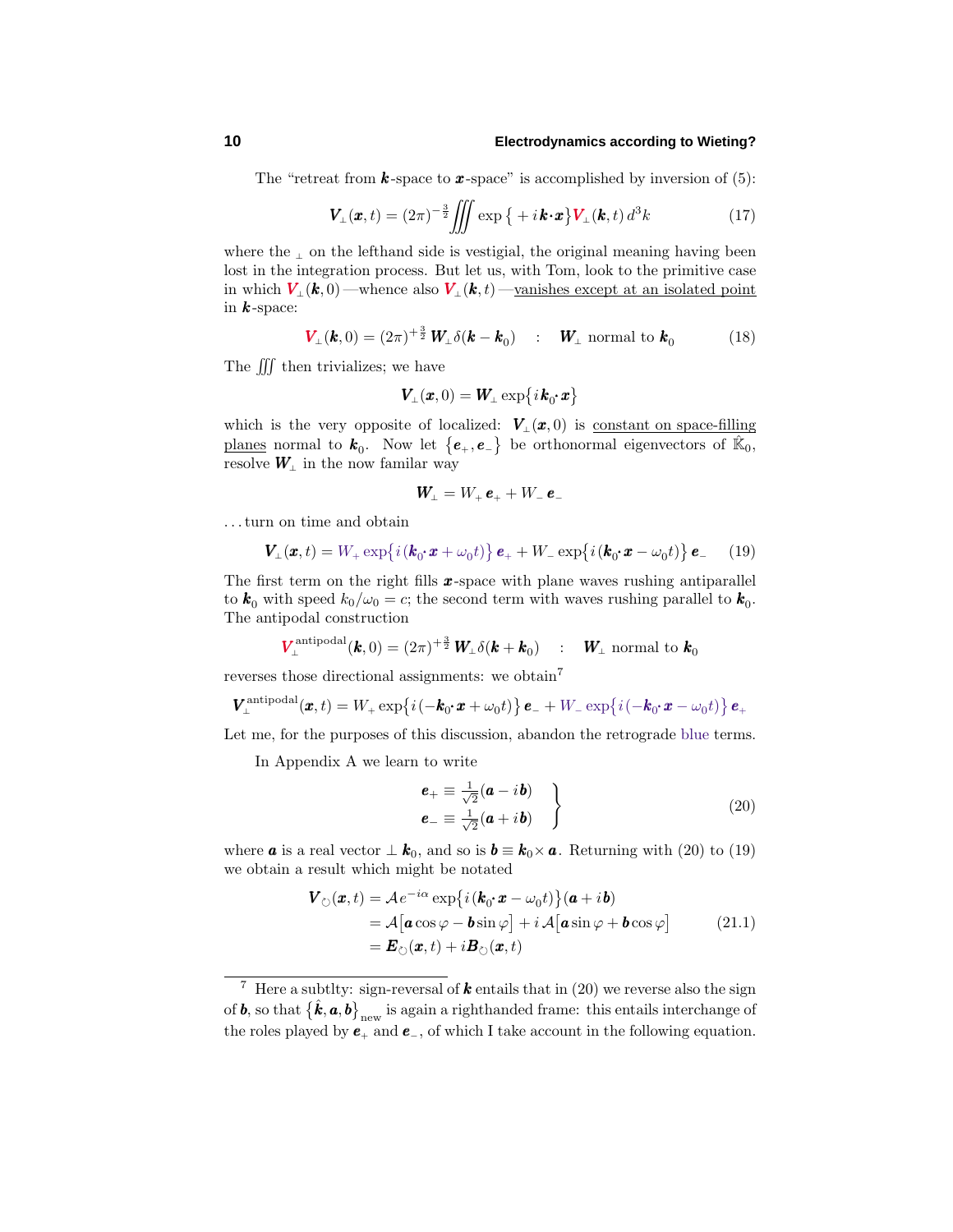The "retreat from  $\boldsymbol{k}$ -space to  $\boldsymbol{x}$ -space" is accomplished by inversion of (5):

$$
\boldsymbol{V}_{\perp}(\boldsymbol{x},t) = (2\pi)^{-\frac{3}{2}} \iiint \exp\left\{ + i\boldsymbol{k} \cdot \boldsymbol{x} \right\} \boldsymbol{V}_{\perp}(\boldsymbol{k},t) d^3 k \tag{17}
$$

where the  $\perp$  on the lefthand side is vestigial, the original meaning having been lost in the integration process. But let us, with Tom, look to the primitive case in which  $V_{\perp}(\mathbf{k},0)$  —whence also  $V_{\perp}(\mathbf{k},t)$  —vanishes except at an isolated point in *k* -space:

$$
\boldsymbol{V}_{\perp}(\boldsymbol{k},0) = (2\pi)^{\frac{3}{2}} \boldsymbol{W}_{\perp} \delta(\boldsymbol{k} - \boldsymbol{k}_0) \quad : \quad \boldsymbol{W}_{\perp} \text{ normal to } \boldsymbol{k}_0 \tag{18}
$$

The  $\iiint$  then trivializes; we have

$$
\boldsymbol{V}_{\perp}(\boldsymbol{x},0)=\boldsymbol{W}_{\perp}\exp\{i\boldsymbol{k}_0\boldsymbol{\cdot}\boldsymbol{x}\}
$$

which is the very opposite of localized:  $V_{\perp}(\mathbf{x},0)$  is <u>constant on space-filling</u> planes normal to  $k_0$ . Now let  $\{e_+, e_-\}$  be orthonormal eigenvectors of  $\hat{\mathbb{K}}_0$ , resolve  $W_$ ⊥ in the now familar way

$$
\mathbf{W}_{\perp}=W_{+}\,\mathbf{e}_{+}+W_{-}\,\mathbf{e}_{-}
$$

*...*turn on time and obtain

$$
\boldsymbol{V}_{\perp}(\boldsymbol{x},t) = W_{+} \exp\{i(\boldsymbol{k}_{0}\cdot\boldsymbol{x} + \omega_{0}t)\} \,\boldsymbol{e}_{+} + W_{-} \exp\{i(\boldsymbol{k}_{0}\cdot\boldsymbol{x} - \omega_{0}t)\} \,\boldsymbol{e}_{-}
$$
 (19)

The first term on the right fills *x*-space with plane waves rushing antiparallel to  $\mathbf{k}_0$  with speed  $k_0/\omega_0 = c$ ; the second term with waves rushing parallel to  $\mathbf{k}_0$ . The antipodal construction

$$
\boldsymbol{V}_{\perp}^{\text{antipodal}}(\boldsymbol{k},0) = (2\pi)^{+\frac{3}{2}} \boldsymbol{W}_{\perp} \delta(\boldsymbol{k} + \boldsymbol{k}_0) \quad : \quad \boldsymbol{W}_{\perp} \text{ normal to } \boldsymbol{k}_0
$$

reverses those directional assignments: we obtain<sup>7</sup>

$$
\boldsymbol{V}_{\perp}^{\text{antipodal}}(\boldsymbol{x},t) = W_{+} \exp\{i(-\boldsymbol{k}_{0}\cdot\boldsymbol{x}+\omega_{0}t)\} \boldsymbol{e}_{-} + W_{-} \exp\{i(-\boldsymbol{k}_{0}\cdot\boldsymbol{x}-\omega_{0}t)\} \boldsymbol{e}_{+}
$$

Let me, for the purposes of this discussion, abandon the retrograde blue terms.

In Appendix A we learn to write

$$
\begin{aligned}\n\mathbf{e}_{+} &\equiv \frac{1}{\sqrt{2}}(\mathbf{a} - i\mathbf{b}) \\
\mathbf{e}_{-} &\equiv \frac{1}{\sqrt{2}}(\mathbf{a} + i\mathbf{b})\n\end{aligned} \tag{20}
$$

where *a* is a real vector  $\perp \mathbf{k}_0$ , and so is  $\mathbf{b} \equiv \mathbf{k}_0 \times \mathbf{a}$ . Returning with (20) to (19) we obtain a result which might be notated

$$
\mathbf{V}_{\circlearrowright}(\boldsymbol{x},t) = A e^{-i\alpha} \exp\{i(\boldsymbol{k}_{0} \cdot \boldsymbol{x} - \omega_{0} t)\} (\boldsymbol{a} + i\boldsymbol{b})
$$
\n
$$
= A[\boldsymbol{a} \cos \varphi - \boldsymbol{b} \sin \varphi] + i A[\boldsymbol{a} \sin \varphi + \boldsymbol{b} \cos \varphi]
$$
\n
$$
= \boldsymbol{E}_{\circlearrowright}(\boldsymbol{x},t) + i \boldsymbol{B}_{\circlearrowright}(\boldsymbol{x},t)
$$
\n(21.1)

<sup>7</sup> Here a subtlty: sign-reversal of *k* entails that in (20) we reverse also the sign of **b**, so that  $\{\hat{k}, a, b\}$ <sub>new</sub> is again a righthanded frame: this entails interchange of the roles played by  $e_+$  and  $e_-$ , of which I take account in the following equation.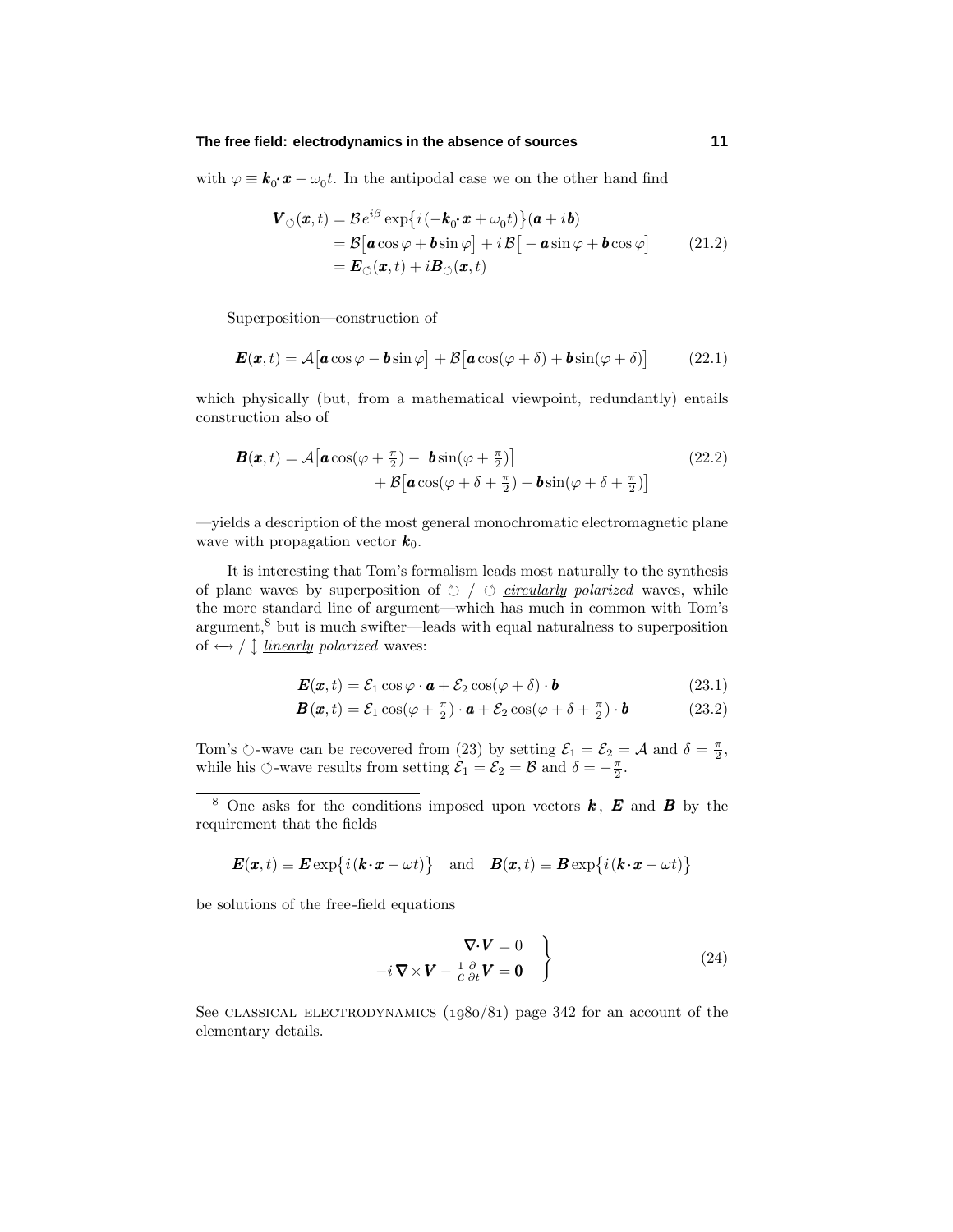#### **The free field: electrodynamics in the absence of sources 11**

with  $\varphi \equiv \mathbf{k}_0 \cdot \mathbf{x} - \omega_0 t$ . In the antipodal case we on the other hand find

$$
\mathbf{V}_{\circlearrowleft}(\boldsymbol{x},t) = \mathcal{B}e^{i\beta} \exp\{i(-\boldsymbol{k}_{0}\cdot\boldsymbol{x} + \omega_{0}t)\} (\boldsymbol{a} + i\boldsymbol{b})
$$
\n
$$
= \mathcal{B}[\boldsymbol{a}\cos\varphi + \boldsymbol{b}\sin\varphi] + i\mathcal{B}[-\boldsymbol{a}\sin\varphi + \boldsymbol{b}\cos\varphi] \qquad (21.2)
$$
\n
$$
= \boldsymbol{E}_{\circlearrowleft}(\boldsymbol{x},t) + i\boldsymbol{B}_{\circlearrowleft}(\boldsymbol{x},t)
$$

Superposition—construction of

$$
\boldsymbol{E}(\boldsymbol{x},t) = \mathcal{A}\big[\boldsymbol{a}\cos\varphi - \boldsymbol{b}\sin\varphi\big] + \mathcal{B}\big[\boldsymbol{a}\cos(\varphi+\delta) + \boldsymbol{b}\sin(\varphi+\delta)\big] \tag{22.1}
$$

which physically (but, from a mathematical viewpoint, redundantly) entails construction also of

$$
\mathbf{B}(\mathbf{x},t) = \mathcal{A}\left[\mathbf{a}\cos(\varphi + \frac{\pi}{2}) - \mathbf{b}\sin(\varphi + \frac{\pi}{2})\right] \tag{22.2}
$$

$$
+ \mathcal{B}\left[\mathbf{a}\cos(\varphi + \delta + \frac{\pi}{2}) + \mathbf{b}\sin(\varphi + \delta + \frac{\pi}{2})\right]
$$

—yields a description of the most general monochromatic electromagnetic plane wave with propagation vector  $\mathbf{k}_0$ .

It is interesting that Tom's formalism leads most naturally to the synthesis of plane waves by superposition of  $\circlearrowright$  /  $\circlearrowleft$  *circularly polarized* waves, while the more standard line of argument—which has much in common with Tom's  $a$ rgument, $8$  but is much swifter—leads with equal naturalness to superposition of  $\leftrightarrow$  /  $\downarrow$  <u>linearly</u> polarized waves:

$$
\boldsymbol{E}(\boldsymbol{x},t) = \mathcal{E}_1 \cos \varphi \cdot \boldsymbol{a} + \mathcal{E}_2 \cos(\varphi + \delta) \cdot \boldsymbol{b}
$$
 (23.1)

$$
\boldsymbol{B}(\boldsymbol{x},t) = \mathcal{E}_1 \cos(\varphi + \frac{\pi}{2}) \cdot \boldsymbol{a} + \mathcal{E}_2 \cos(\varphi + \delta + \frac{\pi}{2}) \cdot \boldsymbol{b} \tag{23.2}
$$

Tom's  $\circlearrowright$ -wave can be recovered from (23) by setting  $\mathcal{E}_1 = \mathcal{E}_2 = \mathcal{A}$  and  $\delta = \frac{\pi}{2}$ , while his  $\circlearrowleft$ -wave results from setting  $\mathcal{E}_1 = \mathcal{E}_2 = \mathcal{B}$  and  $\delta = -\frac{\pi}{2}$ .

$$
\boldsymbol{E}(\boldsymbol{x},t)\equiv\boldsymbol{E}\exp\bigl\{i(\boldsymbol{k}\!\cdot\!\boldsymbol{x}-\omega t)\bigr\}\quad\text{and}\quad\boldsymbol{B}(\boldsymbol{x},t)\equiv\boldsymbol{B}\exp\bigl\{i(\boldsymbol{k}\!\cdot\!\boldsymbol{x}-\omega t)\bigr\}
$$

be solutions of the free-field equations

$$
\nabla \cdot \mathbf{V} = 0
$$
  
- $i \nabla \times \mathbf{V} - \frac{1}{c} \frac{\partial}{\partial t} \mathbf{V} = \mathbf{0}$  (24)

See CLASSICAL ELECTRODYNAMICS  $(1980/81)$  page 342 for an account of the elementary details.

<sup>8</sup> One asks for the conditions imposed upon vectors *k* , *E* and *B* by the requirement that the fields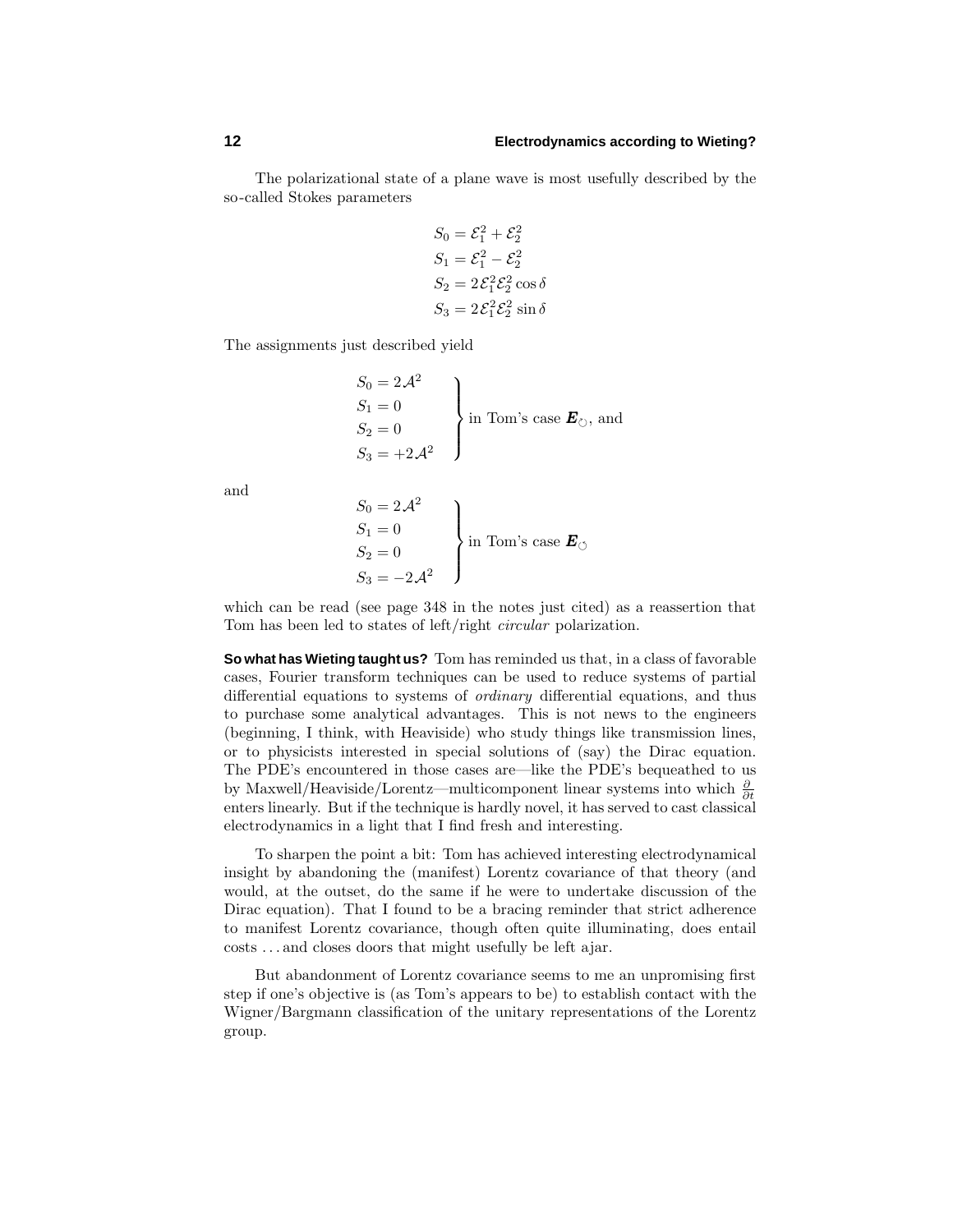The polarizational state of a plane wave is most usefully described by the so-called Stokes parameters

$$
S_0 = \mathcal{E}_1^2 + \mathcal{E}_2^2
$$
  
\n
$$
S_1 = \mathcal{E}_1^2 - \mathcal{E}_2^2
$$
  
\n
$$
S_2 = 2\mathcal{E}_1^2 \mathcal{E}_2^2 \cos \delta
$$
  
\n
$$
S_3 = 2\mathcal{E}_1^2 \mathcal{E}_2^2 \sin \delta
$$

The assignments just described yield

$$
S_0 = 2\mathcal{A}^2
$$
  
\n
$$
S_1 = 0
$$
  
\n
$$
S_2 = 0
$$
  
\n
$$
S_3 = +2\mathcal{A}^2
$$
 in Tom's case  $\mathbf{E}_{\circlearrowright}$ , and

and

$$
S_0 = 2\mathcal{A}^2
$$
  
\n
$$
S_1 = 0
$$
  
\n
$$
S_2 = 0
$$
  
\n
$$
S_3 = -2\mathcal{A}^2
$$
 in Tom's case  $\mathbf{E}_{\circlearrowleft}$ 

which can be read (see page 348 in the notes just cited) as a reassertion that Tom has been led to states of left/right *circular* polarization.

**So what has Wieting taught us?** Tom has reminded us that, in a class of favorable cases, Fourier transform techniques can be used to reduce systems of partial differential equations to systems of ordinary differential equations, and thus to purchase some analytical advantages. This is not news to the engineers (beginning, I think, with Heaviside) who study things like transmission lines, or to physicists interested in special solutions of (say) the Dirac equation. The PDE's encountered in those cases are—like the PDE's bequeathed to us by Maxwell/Heaviside/Lorentz—multicomponent linear systems into which *<sup>∂</sup> ∂t* enters linearly. But if the technique is hardly novel, it has served to cast classical electrodynamics in a light that I find fresh and interesting.

To sharpen the point a bit: Tom has achieved interesting electrodynamical insight by abandoning the (manifest) Lorentz covariance of that theory (and would, at the outset, do the same if he were to undertake discussion of the Dirac equation). That I found to be a bracing reminder that strict adherence to manifest Lorentz covariance, though often quite illuminating, does entail costs *...* and closes doors that might usefully be left ajar.

But abandonment of Lorentz covariance seems to me an unpromising first step if one's objective is (as Tom's appears to be) to establish contact with the Wigner/Bargmann classification of the unitary representations of the Lorentz group.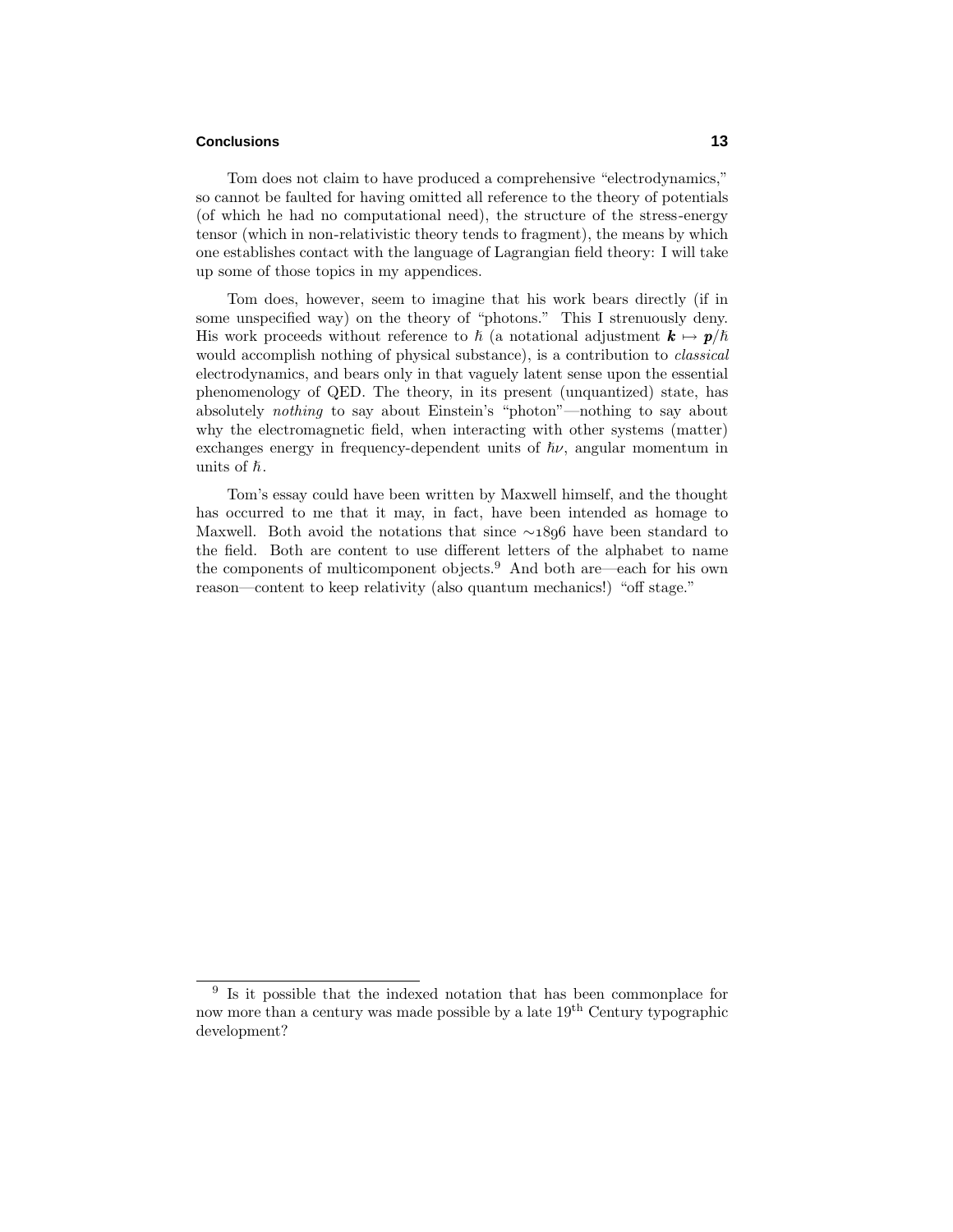# **Conclusions 13**

Tom does not claim to have produced a comprehensive "electrodynamics," so cannot be faulted for having omitted all reference to the theory of potentials (of which he had no computational need), the structure of the stress-energy tensor (which in non-relativistic theory tends to fragment), the means by which one establishes contact with the language of Lagrangian field theory: I will take up some of those topics in my appendices.

Tom does, however, seem to imagine that his work bears directly (if in some unspecified way) on the theory of "photons." This I strenuously deny. His work proceeds without reference to  $\hbar$  (a notational adjustment  $\boldsymbol{k} \mapsto \boldsymbol{p}/\hbar$ would accomplish nothing of physical substance), is a contribution to *classical* electrodynamics, and bears only in that vaguely latent sense upon the essential phenomenology of QED. The theory, in its present (unquantized) state, has absolutely nothing to say about Einstein's "photon"—nothing to say about why the electromagnetic field, when interacting with other systems (matter) exchanges energy in frequency-dependent units of  $\hbar \nu$ , angular momentum in units of  $\hbar$ .

Tom's essay could have been written by Maxwell himself, and the thought has occurred to me that it may, in fact, have been intended as homage to Maxwell. Both avoid the notations that since  $\sim$  1896 have been standard to the field. Both are content to use different letters of the alphabet to name the components of multicomponent objects.<sup>9</sup> And both are—each for his own reason—content to keep relativity (also quantum mechanics!) "off stage."

<sup>9</sup> Is it possible that the indexed notation that has been commonplace for now more than a century was made possible by a late  $19<sup>th</sup>$  Century typographic development?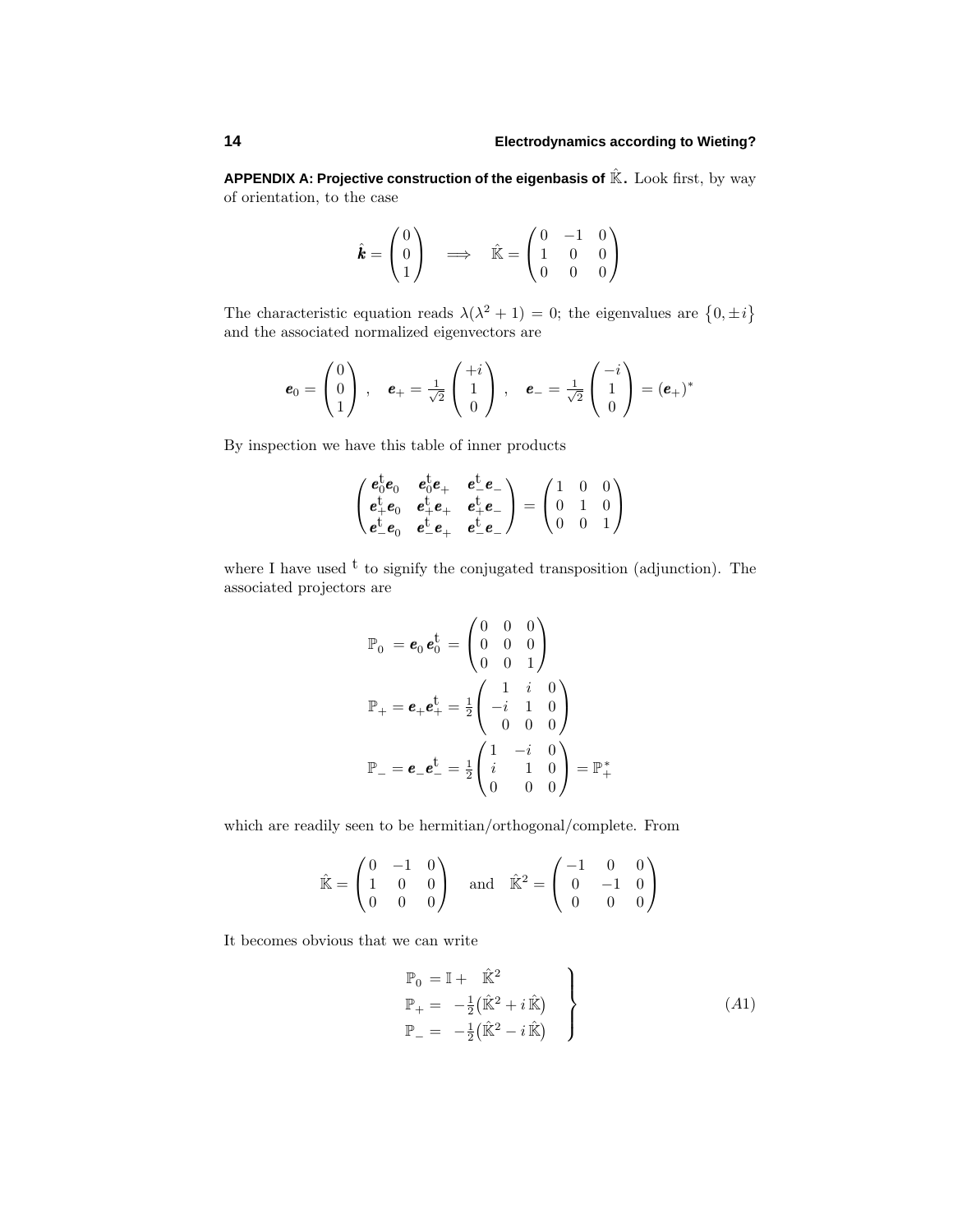**APPENDIX A: Projective construction of the eigenbasis of**  $\hat{\mathbb{K}}$ **.** Look first, by way of orientation, to the case

$$
\hat{\boldsymbol{k}} = \begin{pmatrix} 0 \\ 0 \\ 1 \end{pmatrix} \implies \hat{\mathbb{K}} = \begin{pmatrix} 0 & -1 & 0 \\ 1 & 0 & 0 \\ 0 & 0 & 0 \end{pmatrix}
$$

The characteristic equation reads  $\lambda(\lambda^2 + 1) = 0$ ; the eigenvalues are  $\{0, \pm i\}$ and the associated normalized eigenvectors are

$$
\boldsymbol{e}_0 = \begin{pmatrix} 0 \\ 0 \\ 1 \end{pmatrix}, \quad \boldsymbol{e}_+ = \frac{1}{\sqrt{2}} \begin{pmatrix} +i \\ 1 \\ 0 \end{pmatrix}, \quad \boldsymbol{e}_- = \frac{1}{\sqrt{2}} \begin{pmatrix} -i \\ 1 \\ 0 \end{pmatrix} = (\boldsymbol{e}_+)^*
$$

By inspection we have this table of inner products

$$
\begin{pmatrix} \bm{e}_0^{\dagger}\bm{e}_0 & \bm{e}_0^{\dagger}\bm{e}_+ & \bm{e}_-^{\dagger}\bm{e}_- \\ \bm{e}_+^{\dagger}\bm{e}_0 & \bm{e}_+^{\dagger}\bm{e}_+ & \bm{e}_+^{\dagger}\bm{e}_- \\ \bm{e}_-^{\dagger}\bm{e}_0 & \bm{e}_-^{\dagger}\bm{e}_+ & \bm{e}_-^{\dagger}\bm{e}_- \end{pmatrix} = \begin{pmatrix} 1 & 0 & 0 \\ 0 & 1 & 0 \\ 0 & 0 & 1 \end{pmatrix}
$$

where I have used  $t$  to signify the conjugated transposition (adjunction). The associated projectors are

$$
\mathbb{P}_0 = \mathbf{e}_0 \mathbf{e}_0^{\mathbf{t}} = \begin{pmatrix} 0 & 0 & 0 \\ 0 & 0 & 0 \\ 0 & 0 & 1 \end{pmatrix}
$$

$$
\mathbb{P}_+ = \mathbf{e}_+ \mathbf{e}_+^{\mathbf{t}} = \frac{1}{2} \begin{pmatrix} 1 & i & 0 \\ -i & 1 & 0 \\ 0 & 0 & 0 \end{pmatrix}
$$

$$
\mathbb{P}_- = \mathbf{e}_- \mathbf{e}_-^{\mathbf{t}} = \frac{1}{2} \begin{pmatrix} 1 & -i & 0 \\ i & 1 & 0 \\ 0 & 0 & 0 \end{pmatrix} = \mathbb{P}_+^*
$$

which are readily seen to be hermitian/orthogonal/complete. From

$$
\hat{\mathbb{K}} = \begin{pmatrix} 0 & -1 & 0 \\ 1 & 0 & 0 \\ 0 & 0 & 0 \end{pmatrix} \text{ and } \hat{\mathbb{K}}^2 = \begin{pmatrix} -1 & 0 & 0 \\ 0 & -1 & 0 \\ 0 & 0 & 0 \end{pmatrix}
$$

It becomes obvious that we can write

$$
\mathbb{P}_0 = \mathbb{I} + \hat{\mathbb{K}}^2
$$
  
\n
$$
\mathbb{P}_+ = -\frac{1}{2} (\hat{\mathbb{K}}^2 + i \hat{\mathbb{K}})
$$
  
\n
$$
\mathbb{P}_- = -\frac{1}{2} (\hat{\mathbb{K}}^2 - i \hat{\mathbb{K}})
$$
\n(A1)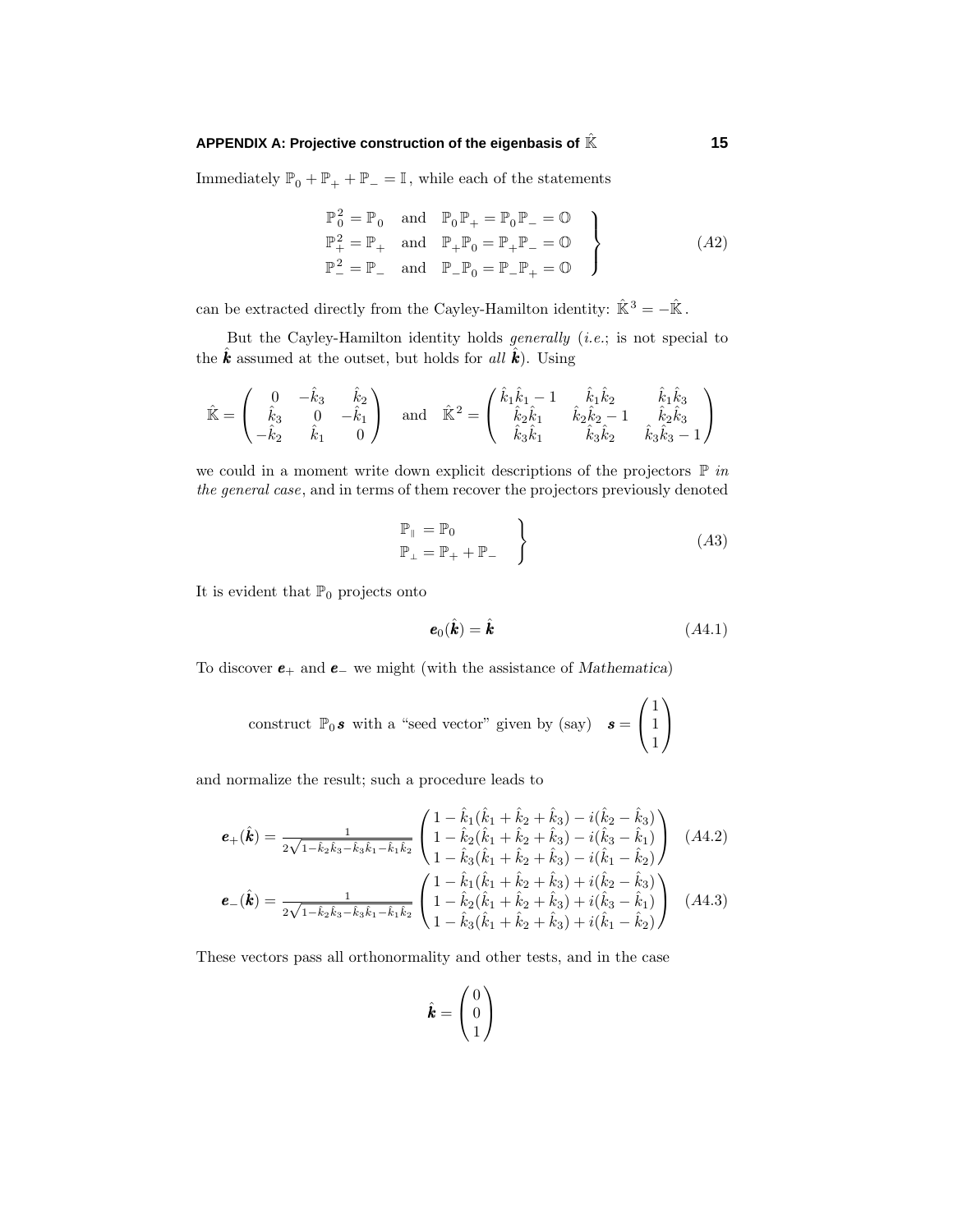### **APPENDIX A: Projective construction of the eigenbasis of**  $\hat{\mathbb{K}}$  **15**

Immediately  $\mathbb{P}_0 + \mathbb{P}_+ + \mathbb{P}_- = \mathbb{I}$ , while each of the statements

$$
\mathbb{P}_0^2 = \mathbb{P}_0 \quad \text{and} \quad \mathbb{P}_0 \mathbb{P}_+ = \mathbb{P}_0 \mathbb{P}_- = \mathbb{O}
$$
\n
$$
\mathbb{P}_+^2 = \mathbb{P}_+ \quad \text{and} \quad \mathbb{P}_+ \mathbb{P}_0 = \mathbb{P}_+ \mathbb{P}_- = \mathbb{O}
$$
\n
$$
\mathbb{P}_-^2 = \mathbb{P}_- \quad \text{and} \quad \mathbb{P}_- \mathbb{P}_0 = \mathbb{P}_- \mathbb{P}_+ = \mathbb{O}
$$
\n
$$
(A2)
$$

can be extracted directly from the Cayley-Hamilton identity:  $\hat{\mathbb{K}}^3 = -\hat{\mathbb{K}}$ .

But the Cayley-Hamilton identity holds generally (i.e.; is not special to the  $\hat{k}$  assumed at the outset, but holds for all  $\hat{k}$ ). Using

$$
\hat{\mathbb{K}} = \begin{pmatrix} 0 & -\hat{k}_3 & \hat{k}_2 \\ \hat{k}_3 & 0 & -\hat{k}_1 \\ -\hat{k}_2 & \hat{k}_1 & 0 \end{pmatrix} \text{ and } \hat{\mathbb{K}}^2 = \begin{pmatrix} \hat{k}_1\hat{k}_1 - 1 & \hat{k}_1\hat{k}_2 & \hat{k}_1\hat{k}_3 \\ \hat{k}_2\hat{k}_1 & \hat{k}_2\hat{k}_2 - 1 & \hat{k}_2\hat{k}_3 \\ \hat{k}_3\hat{k}_1 & \hat{k}_3\hat{k}_2 & \hat{k}_3\hat{k}_3 - 1 \end{pmatrix}
$$

we could in a moment write down explicit descriptions of the projectors  $\mathbb P$  in the general case, and in terms of them recover the projectors previously denoted

$$
\mathbb{P}_{\mathbb{I}} = \mathbb{P}_{0} \tag{A3}
$$
\n
$$
\mathbb{P}_{\mathbb{I}} = \mathbb{P}_{+} + \mathbb{P}_{-}
$$

It is evident that  $\mathbb{P}_0$  projects onto

$$
\boldsymbol{e}_0(\hat{\boldsymbol{k}}) = \hat{\boldsymbol{k}} \tag{A4.1}
$$

To discover *e*<sup>+</sup> and *e*<sup>−</sup> we might (with the assistance of *Mathematica*)

construct 
$$
\mathbb{P}_0
$$
**s** with a "seed vector" given by (say)  $\mathbf{s} = \begin{pmatrix} 1 \\ 1 \\ 1 \end{pmatrix}$ 

and normalize the result; such a procedure leads to

$$
\mathbf{e}_{+}(\hat{\mathbf{k}}) = \frac{1}{2\sqrt{1-\hat{k}_{2}\hat{k}_{3}-\hat{k}_{3}\hat{k}_{1}-\hat{k}_{1}\hat{k}_{2}}} \begin{pmatrix} 1-\hat{k}_{1}(\hat{k}_{1}+\hat{k}_{2}+\hat{k}_{3}) - i(\hat{k}_{2}-\hat{k}_{3}) \\ 1-\hat{k}_{2}(\hat{k}_{1}+\hat{k}_{2}+\hat{k}_{3}) - i(\hat{k}_{3}-\hat{k}_{1}) \\ 1-\hat{k}_{3}(\hat{k}_{1}+\hat{k}_{2}+\hat{k}_{3}) - i(\hat{k}_{1}-\hat{k}_{2}) \end{pmatrix} (A4.2)
$$

$$
\mathbf{e}_{-}(\hat{\mathbf{k}}) = \frac{1}{2\sqrt{1-\hat{k}_{2}\hat{k}_{3}-\hat{k}_{3}\hat{k}_{1}-\hat{k}_{1}\hat{k}_{2}}} \begin{pmatrix} 1-\hat{k}_{1}(\hat{k}_{1}+\hat{k}_{2}+\hat{k}_{3}) + i(\hat{k}_{2}-\hat{k}_{3}) \\ 1-\hat{k}_{2}(\hat{k}_{1}+\hat{k}_{2}+\hat{k}_{3}) + i(\hat{k}_{3}-\hat{k}_{1}) \\ 1-\hat{k}_{3}(\hat{k}_{1}+\hat{k}_{2}+\hat{k}_{3}) + i(\hat{k}_{3}-\hat{k}_{1}) \end{pmatrix} (A4.3)
$$

These vectors pass all orthonormality and other tests, and in the case

$$
\hat{\boldsymbol{k}} = \begin{pmatrix} 0 \\ 0 \\ 1 \end{pmatrix}
$$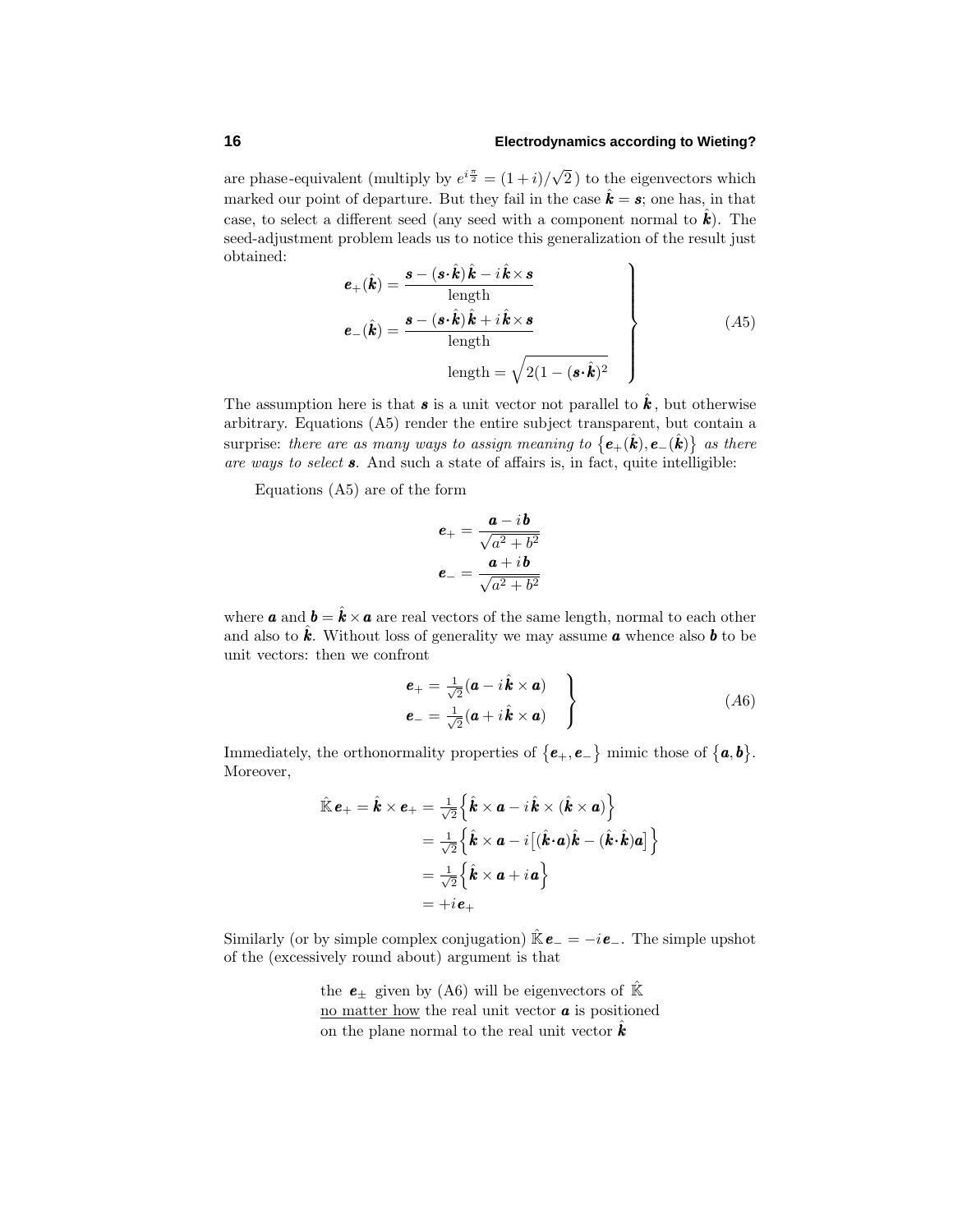are phase-equivalent (multiply by  $e^{i\frac{\pi}{2}} = (1+i)/\sqrt{2}$ ) to the eigenvectors which marked our point of departure. But they fail in the case  $\hat{k} = s$ ; one has, in that case, to select a different seed (any seed with a component normal to  $\hat{k}$ ). The seed-adjustment problem leads us to notice this generalization of the result just obtained:

$$
\mathbf{e}_{+}(\hat{\mathbf{k}}) = \frac{\mathbf{s} - (\mathbf{s} \cdot \hat{\mathbf{k}}) \hat{\mathbf{k}} - i \hat{\mathbf{k}} \times \mathbf{s}}{\text{length}}
$$
\n
$$
\mathbf{e}_{-}(\hat{\mathbf{k}}) = \frac{\mathbf{s} - (\mathbf{s} \cdot \hat{\mathbf{k}}) \hat{\mathbf{k}} + i \hat{\mathbf{k}} \times \mathbf{s}}{\text{length}}
$$
\n
$$
\text{length} = \sqrt{2(1 - (\mathbf{s} \cdot \hat{\mathbf{k}})^{2}}
$$
\n(45)

The assumption here is that **s** is a unit vector not parallel to  $\hat{k}$ , but otherwise arbitrary. Equations (A5) render the entire subject transparent, but contain a surprise: there are as many ways to assign meaning to  $\{e_+(\hat{k}), e_-(\hat{k})\}$  as there are ways to select *s*. And such a state of affairs is, in fact, quite intelligible:

Equations (A5) are of the form

$$
e_{+} = \frac{a - ib}{\sqrt{a^2 + b^2}}
$$

$$
e_{-} = \frac{a + ib}{\sqrt{a^2 + b^2}}
$$

where **a** and  $\mathbf{b} = \hat{\mathbf{k}} \times \mathbf{a}$  are real vectors of the same length, normal to each other and also to  $\hat{k}$ . Without loss of generality we may assume **a** whence also **b** to be unit vectors: then we confront

$$
\begin{aligned}\n\mathbf{e}_{+} &= \frac{1}{\sqrt{2}} (\mathbf{a} - i\hat{\mathbf{k}} \times \mathbf{a}) \\
\mathbf{e}_{-} &= \frac{1}{\sqrt{2}} (\mathbf{a} + i\hat{\mathbf{k}} \times \mathbf{a})\n\end{aligned} \qquad (A6)
$$

Immediately, the orthonormality properties of  $\{e_+, e_-\}$  mimic those of  $\{a, b\}$ . Moreover,

$$
\hat{\mathbb{K}}\boldsymbol{e}_{+} = \hat{\boldsymbol{k}} \times \boldsymbol{e}_{+} = \frac{1}{\sqrt{2}} \Big\{ \hat{\boldsymbol{k}} \times \boldsymbol{a} - i \hat{\boldsymbol{k}} \times (\hat{\boldsymbol{k}} \times \boldsymbol{a}) \Big\} \n= \frac{1}{\sqrt{2}} \Big\{ \hat{\boldsymbol{k}} \times \boldsymbol{a} - i \big[ (\hat{\boldsymbol{k}} \cdot \boldsymbol{a}) \hat{\boldsymbol{k}} - (\hat{\boldsymbol{k}} \cdot \hat{\boldsymbol{k}}) \boldsymbol{a} \big] \Big\} \n= \frac{1}{\sqrt{2}} \Big\{ \hat{\boldsymbol{k}} \times \boldsymbol{a} + i \boldsymbol{a} \Big\} \n= + i \boldsymbol{e}_{+}
$$

Similarly (or by simple complex conjugation)  $\mathbb{\hat{K}} e$ <sub>−</sub> = −*i* $e$ <sub>−</sub>. The simple upshot of the (excessively round about) argument is that

> the  $\textit{\textbf{e}}_{\pm}$  given by (A6) will be eigenvectors of  $\hat{\mathbb{K}}$ no matter how the real unit vector *a* is positioned on the plane normal to the real unit vector  $\hat{k}$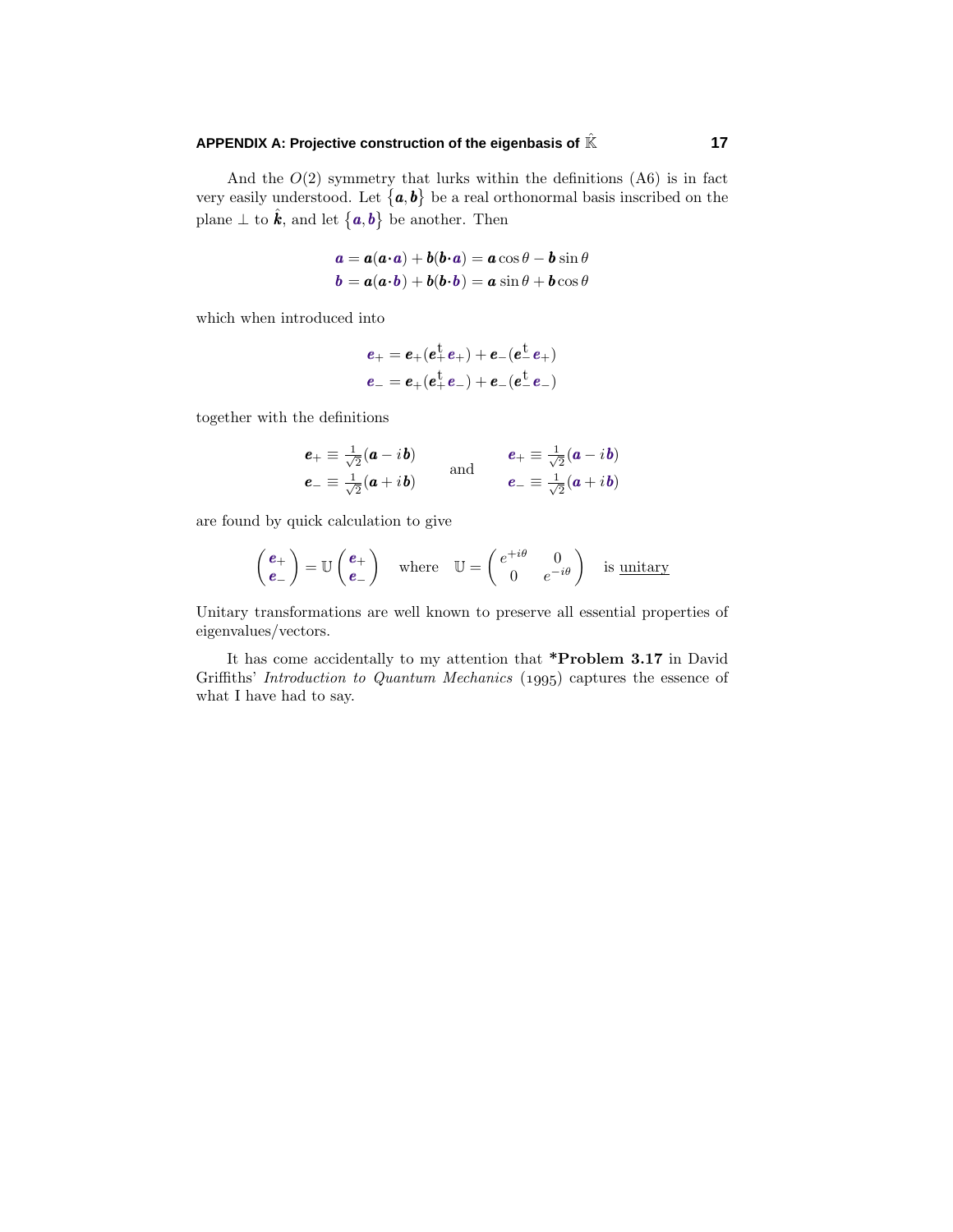# **APPENDIX A: Projective construction of the eigenbasis of**  $\hat{\mathbb{K}}$  **17**

And the  $O(2)$  symmetry that lurks within the definitions  $(A6)$  is in fact very easily understood. Let  $\{a, b\}$  be a real orthonormal basis inscribed on the plane  $\perp$  to  $\hat{k}$ , and let  $\{a, b\}$  be another. Then

$$
a = a(a \cdot a) + b(b \cdot a) = a \cos \theta - b \sin \theta
$$
  

$$
b = a(a \cdot b) + b(b \cdot b) = a \sin \theta + b \cos \theta
$$

which when introduced into

$$
e_+ = e_+(e_+^t e_+) + e_-(e_-^t e_+)
$$
  

$$
e_- = e_+(e_+^t e_-) + e_-(e_-^t e_-)
$$

together with the definitions

$$
\begin{array}{ll}\n\mathbf{e}_{+} \equiv \frac{1}{\sqrt{2}}(\mathbf{a} - i\mathbf{b}) & \mathbf{e}_{+} \equiv \frac{1}{\sqrt{2}}(\mathbf{a} - i\mathbf{b}) \\
\mathbf{e}_{-} \equiv \frac{1}{\sqrt{2}}(\mathbf{a} + i\mathbf{b}) & \text{and} & \mathbf{e}_{-} \equiv \frac{1}{\sqrt{2}}(\mathbf{a} + i\mathbf{b})\n\end{array}
$$

are found by quick calculation to give

$$
\begin{pmatrix} e_+ \\ e_- \end{pmatrix} = \mathbb{U} \begin{pmatrix} e_+ \\ e_- \end{pmatrix} \quad \text{where} \quad \mathbb{U} = \begin{pmatrix} e^{+i\theta} & 0 \\ 0 & e^{-i\theta} \end{pmatrix} \quad \text{is } \underline{\text{unitary}}
$$

Unitary transformations are well known to preserve all essential properties of eigenvalues/vectors.

It has come accidentally to my attention that **\*Problem 3.17** in David Griffiths' Introduction to Quantum Mechanics (1995) captures the essence of what I have had to say.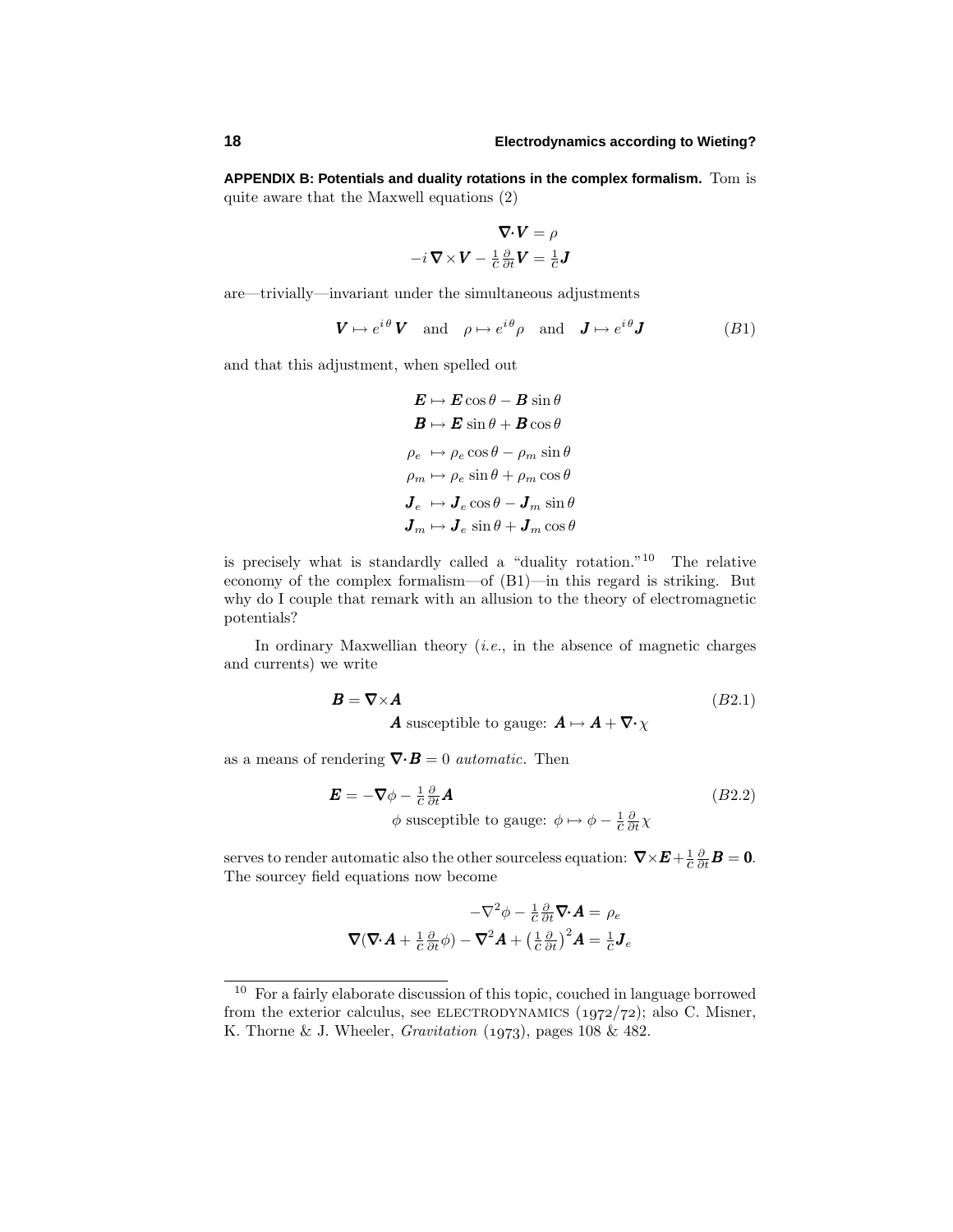**APPENDIX B: Potentials and duality rotations in the complex formalism.** Tom is quite aware that the Maxwell equations (2)

$$
\nabla \cdot \mathbf{V} = \rho
$$

$$
-i \nabla \times \mathbf{V} - \frac{1}{c} \frac{\partial}{\partial t} \mathbf{V} = \frac{1}{c} \mathbf{J}
$$

are—trivially—invariant under the simultaneous adjustments

$$
\boldsymbol{V} \mapsto e^{i\theta} \boldsymbol{V} \quad \text{and} \quad \rho \mapsto e^{i\theta} \rho \quad \text{and} \quad \boldsymbol{J} \mapsto e^{i\theta} \boldsymbol{J} \tag{B1}
$$

and that this adjustment, when spelled out

$$
\begin{aligned}\n\boldsymbol{E} &\mapsto \boldsymbol{E}\cos\theta - \boldsymbol{B}\sin\theta \\
\boldsymbol{B} &\mapsto \boldsymbol{E}\sin\theta + \boldsymbol{B}\cos\theta \\
\rho_e &\mapsto \rho_e\cos\theta - \rho_m\sin\theta \\
\rho_m &\mapsto \rho_e\sin\theta + \rho_m\cos\theta \\
\boldsymbol{J}_e &\mapsto \boldsymbol{J}_e\cos\theta - \boldsymbol{J}_m\sin\theta \\
\boldsymbol{J}_m &\mapsto \boldsymbol{J}_e\sin\theta + \boldsymbol{J}_m\cos\theta\n\end{aligned}
$$

is precisely what is standardly called a "duality rotation."<sup>10</sup> The relative economy of the complex formalism—of (B1)—in this regard is striking. But why do I couple that remark with an allusion to the theory of electromagnetic potentials?

In ordinary Maxwellian theory  $(i.e.,$  in the absence of magnetic charges and currents) we write

$$
B = \nabla \times A
$$
 (B2.1)  
*A* susceptible to gauge:  $A \mapsto A + \nabla \cdot \chi$ 

as a means of rendering  $\nabla \cdot \boldsymbol{B} = 0$  *automatic*. Then

$$
\mathbf{E} = -\nabla\phi - \frac{1}{c}\frac{\partial}{\partial t}\mathbf{A}
$$
 (*B2.2*)  
\n $\phi$  susceptible to gauge:  $\phi \mapsto \phi - \frac{1}{c}\frac{\partial}{\partial t}\chi$ 

serves to render automatic also the other sourceless equation:  $\nabla \times \boldsymbol{E} + \frac{1}{c} \frac{\partial}{\partial t} \boldsymbol{B} = \boldsymbol{0}.$ The sourcey field equations now become

$$
-\nabla^2 \phi - \frac{1}{c} \frac{\partial}{\partial t} \nabla \cdot \mathbf{A} = \rho_e
$$

$$
\nabla (\nabla \cdot \mathbf{A} + \frac{1}{c} \frac{\partial}{\partial t} \phi) - \nabla^2 \mathbf{A} + \left(\frac{1}{c} \frac{\partial}{\partial t}\right)^2 \mathbf{A} = \frac{1}{c} \mathbf{J}_e
$$

<sup>&</sup>lt;sup>10</sup> For a fairly elaborate discussion of this topic, couched in language borrowed from the exterior calculus, see ELECTRODYNAMICS  $(1972/72)$ ; also C. Misner, K. Thorne & J. Wheeler, *Gravitation* (1973), pages 108 & 482.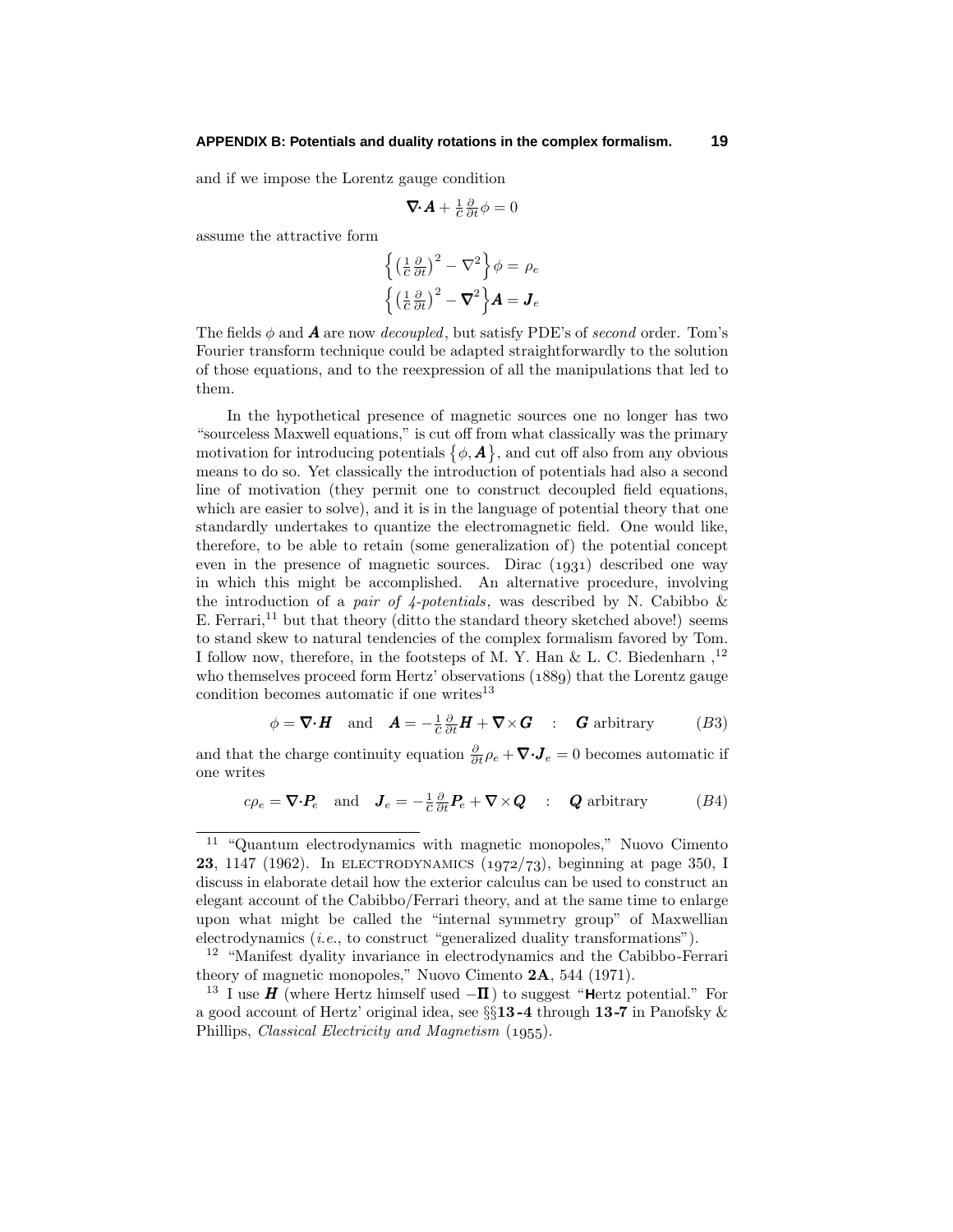and if we impose the Lorentz gauge condition

$$
\nabla \cdot \bm{A} + \frac{1}{c} \frac{\partial}{\partial t} \phi = 0
$$

assume the attractive form

$$
\left\{ \left( \frac{1}{c} \frac{\partial}{\partial t} \right)^2 - \nabla^2 \right\} \phi = \rho_e
$$

$$
\left\{ \left( \frac{1}{c} \frac{\partial}{\partial t} \right)^2 - \nabla^2 \right\} A = J_e
$$

The fields  $\phi$  and  $\boldsymbol{A}$  are now *decoupled*, but satisfy PDE's of *second* order. Tom's Fourier transform technique could be adapted straightforwardly to the solution of those equations, and to the reexpression of all the manipulations that led to them.

In the hypothetical presence of magnetic sources one no longer has two "sourceless Maxwell equations," is cut off from what classically was the primary motivation for introducing potentials  $\{\phi, \mathbf{A}\}\$ , and cut off also from any obvious means to do so. Yet classically the introduction of potentials had also a second line of motivation (they permit one to construct decoupled field equations, which are easier to solve), and it is in the language of potential theory that one standardly undertakes to quantize the electromagnetic field. One would like, therefore, to be able to retain (some generalization of) the potential concept even in the presence of magnetic sources. Dirac  $(1931)$  described one way in which this might be accomplished. An alternative procedure, involving the introduction of a pair of 4-potentials, was described by N. Cabibbo  $\&$ E. Ferrari,<sup>11</sup> but that theory (ditto the standard theory sketched above!) seems to stand skew to natural tendencies of the complex formalism favored by Tom. I follow now, therefore, in the footsteps of M.Y. Han & L.C. Biedenharn,  $^{12}$ who themselves proceed form Hertz' observations  $(1889)$  that the Lorentz gauge condition becomes automatic if one writes<sup>13</sup>

$$
\phi = \nabla \cdot \boldsymbol{H} \quad \text{and} \quad \boldsymbol{A} = -\frac{1}{c} \frac{\partial}{\partial t} \boldsymbol{H} + \boldsymbol{\nabla} \times \boldsymbol{G} \quad : \quad \boldsymbol{G} \text{ arbitrary} \tag{B3}
$$

and that the charge continuity equation  $\frac{\partial}{\partial t} \rho_e + \nabla \cdot \mathbf{J}_e = 0$  becomes automatic if one writes

$$
c\rho_e = \nabla \cdot \boldsymbol{P}_e
$$
 and  $\boldsymbol{J}_e = -\frac{1}{c} \frac{\partial}{\partial t} \boldsymbol{P}_e + \nabla \times \boldsymbol{Q}$ :  $\boldsymbol{Q}$  arbitrary (B4)

<sup>11</sup> "Quantum electrodynamics with magnetic monopoles," Nuovo Cimento **23**, 1147 (1962). In ELECTRODYNAMICS  $(1972/73)$ , beginning at page 350, I discuss in elaborate detail how the exterior calculus can be used to construct an elegant account of the Cabibbo/Ferrari theory, and at the same time to enlarge upon what might be called the "internal symmetry group" of Maxwellian electrodynamics (*i.e.*, to construct "generalized duality transformations").

<sup>&</sup>lt;sup>12</sup> "Manifest dyality invariance in electrodynamics and the Cabibbo-Ferrari theory of magnetic monopoles," Nuovo Cimento **2A**, 544 (1971).

<sup>&</sup>lt;sup>13</sup> I use *H* (where Hertz himself used  $-\Pi$ ) to suggest "Hertz potential." For a good account of Hertz' original idea, see §§**13 -4** through **13 -7** in Panofsky & Phillips, *Classical Electricity and Magnetism* (1955).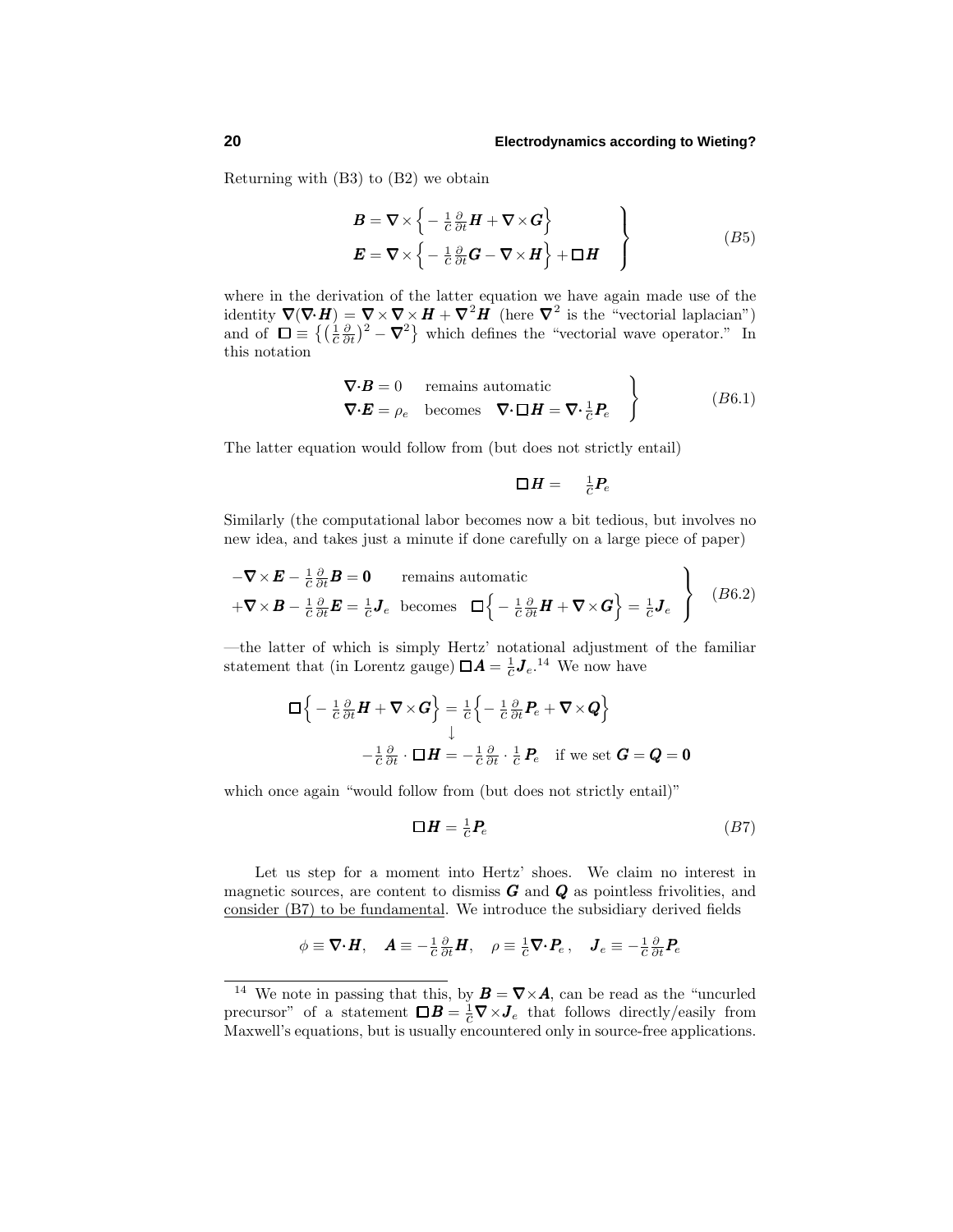Returning with (B3) to (B2) we obtain

$$
\boldsymbol{B} = \nabla \times \left\{ -\frac{1}{c} \frac{\partial}{\partial t} \boldsymbol{H} + \nabla \times \boldsymbol{G} \right\}
$$
\n
$$
\boldsymbol{E} = \nabla \times \left\{ -\frac{1}{c} \frac{\partial}{\partial t} \boldsymbol{G} - \nabla \times \boldsymbol{H} \right\} + \boldsymbol{\Box} \boldsymbol{H}
$$
\n(B5)

where in the derivation of the latter equation we have again made use of the identity  $\nabla(\nabla \cdot \mathbf{H}) = \nabla \times \nabla \times \mathbf{H} + \nabla^2 \mathbf{H}$  (here  $\nabla^2$  is the "vectorial laplacian") and of  $\Box \equiv \left\{ \left( \frac{1}{c} \frac{\partial}{\partial t} \right)^2 - \nabla^2 \right\}$  which defines the "vectorial wave operator." In this notation

$$
\nabla \cdot \mathbf{B} = 0 \quad \text{remains automatic} \quad \left\{ \nabla \cdot \mathbf{E} = \rho_e \quad \text{becomes} \quad \nabla \cdot \mathbf{\Box} \mathbf{H} = \nabla \cdot \frac{1}{c} P_e \quad \text{(B6.1)}
$$

The latter equation would follow from (but does not strictly entail)

$$
\Box H = -\tfrac{1}{C}P_e
$$

Similarly (the computational labor becomes now a bit tedious, but involves no new idea, and takes just a minute if done carefully on a large piece of paper)

$$
-\nabla \times \boldsymbol{E} - \frac{1}{c} \frac{\partial}{\partial t} \boldsymbol{B} = \boldsymbol{0} \quad \text{remains automatic}
$$
  
+ $\nabla \times \boldsymbol{B} - \frac{1}{c} \frac{\partial}{\partial t} \boldsymbol{E} = \frac{1}{c} \boldsymbol{J}_e \text{ becomes } \boldsymbol{\Box} \left\{ - \frac{1}{c} \frac{\partial}{\partial t} \boldsymbol{H} + \nabla \times \boldsymbol{G} \right\} = \frac{1}{c} \boldsymbol{J}_e$  (B6.2)

—the latter of which is simply Hertz' notational adjustment of the familiar statement that (in Lorentz gauge)  $\Box A = \frac{1}{c} J_e$ .<sup>14</sup> We now have

$$
\Box \left\{ -\frac{1}{c} \frac{\partial}{\partial t} \boldsymbol{H} + \boldsymbol{\nabla} \times \boldsymbol{G} \right\} = \frac{1}{c} \left\{ -\frac{1}{c} \frac{\partial}{\partial t} P_e + \boldsymbol{\nabla} \times \boldsymbol{Q} \right\}
$$
  

$$
\downarrow
$$
  

$$
-\frac{1}{c} \frac{\partial}{\partial t} \cdot \boldsymbol{\Box} \boldsymbol{H} = -\frac{1}{c} \frac{\partial}{\partial t} \cdot \frac{1}{c} P_e \text{ if we set } \boldsymbol{G} = \boldsymbol{Q} = \boldsymbol{0}
$$

which once again "would follow from (but does not strictly entail)"

$$
\Box H = \frac{1}{c} P_e \tag{B7}
$$

Let us step for a moment into Hertz' shoes. We claim no interest in magnetic sources, are content to dismiss *G* and *Q* as pointless frivolities, and consider (B7) to be fundamental. We introduce the subsidiary derived fields

$$
\phi \equiv \nabla \cdot \bm{H}, \quad \bm{A} \equiv -\frac{1}{c} \frac{\partial}{\partial t} \bm{H}, \quad \rho \equiv \frac{1}{c} \nabla \cdot \bm{P}_e \,, \quad \bm{J}_e \equiv -\frac{1}{c} \frac{\partial}{\partial t} \bm{P}_e
$$

<sup>&</sup>lt;sup>14</sup> We note in passing that this, by  $\mathbf{B} = \nabla \times \mathbf{A}$ , can be read as the "uncurled" precursor" of a statement  $\mathbf{B} = \frac{1}{c} \nabla \times \mathbf{J}_e$  that follows directly/easily from Maxwell's equations, but is usually encountered only in source-free applications.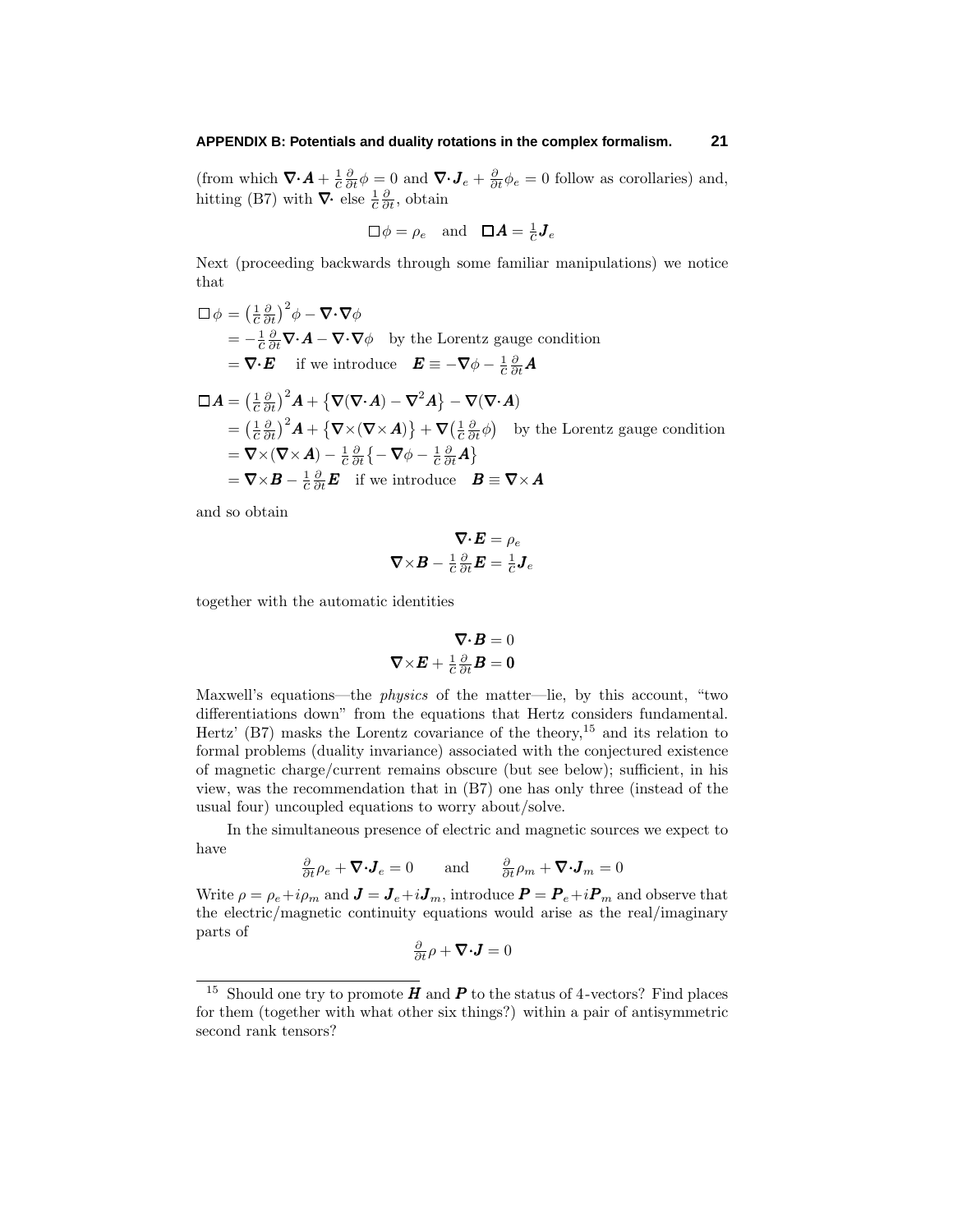# **APPENDIX B: Potentials and duality rotations in the complex formalism. 21**

(from which  $\nabla \cdot \mathbf{A} + \frac{1}{c} \frac{\partial}{\partial t} \phi = 0$  and  $\nabla \cdot \mathbf{J}_e + \frac{\partial}{\partial t} \phi_e = 0$  follow as corollaries) and, hitting (B7) with  $\nabla$ • else  $\frac{1}{c} \frac{\partial}{\partial t}$ , obtain

$$
\Box \phi = \rho_e
$$
 and  $\Box A = \frac{1}{c} J_e$ 

Next (proceeding backwards through some familiar manipulations) we notice that

$$
\begin{aligned}\n\Box \phi &= \left(\frac{1}{c}\frac{\partial}{\partial t}\right)^2 \phi - \nabla \cdot \nabla \phi \\
&= -\frac{1}{c}\frac{\partial}{\partial t} \nabla \cdot A - \nabla \cdot \nabla \phi \quad \text{by the Lorentz gauge condition} \\
&= \nabla \cdot \mathbf{E} \quad \text{if we introduce} \quad \mathbf{E} \equiv -\nabla \phi - \frac{1}{c}\frac{\partial}{\partial t} A \\
\Box A &= \left(\frac{1}{c}\frac{\partial}{\partial t}\right)^2 A + \left\{\nabla(\nabla \cdot A) - \nabla^2 A\right\} - \nabla(\nabla \cdot A) \\
&= \left(\frac{1}{c}\frac{\partial}{\partial t}\right)^2 A + \left\{\nabla \times (\nabla \times A)\right\} + \nabla\left(\frac{1}{c}\frac{\partial}{\partial t}\phi\right) \quad \text{by the Lorentz gauge condition} \\
&= \nabla \times (\nabla \times A) - \frac{1}{c}\frac{\partial}{\partial t} \left\{-\nabla \phi - \frac{1}{c}\frac{\partial}{\partial t} A\right\} \\
&= \nabla \times B - \frac{1}{c}\frac{\partial}{\partial t} \mathbf{E} \quad \text{if we introduce} \quad \mathbf{B} \equiv \nabla \times A\n\end{aligned}
$$

and so obtain

$$
\begin{aligned} \nabla\!\cdot\! \boldsymbol{E} &= \rho_e \\ \nabla\!\times\! \boldsymbol{B} - \tfrac{1}{c}\tfrac{\partial}{\partial t}\boldsymbol{E} &= \tfrac{1}{c}\boldsymbol{J}_e \end{aligned}
$$

together with the automatic identities

$$
\nabla \cdot \boldsymbol{B} = 0
$$
  

$$
\nabla \times \boldsymbol{E} + \frac{1}{c} \frac{\partial}{\partial t} \boldsymbol{B} = \boldsymbol{0}
$$

Maxwell's equations—the physics of the matter—lie, by this account, "two differentiations down" from the equations that Hertz considers fundamental. Hertz'  $(B7)$  masks the Lorentz covariance of the theory,<sup>15</sup> and its relation to formal problems (duality invariance) associated with the conjectured existence of magnetic charge/current remains obscure (but see below); sufficient, in his view, was the recommendation that in (B7) one has only three (instead of the usual four) uncoupled equations to worry about/solve.

In the simultaneous presence of electric and magnetic sources we expect to have

$$
\frac{\partial}{\partial t}\rho_e + \nabla \cdot \mathbf{J}_e = 0 \quad \text{and} \quad \frac{\partial}{\partial t}\rho_m + \nabla \cdot \mathbf{J}_m = 0
$$

Write  $\rho = \rho_e + i\rho_m$  and  $\mathbf{J} = \mathbf{J}_e + i\mathbf{J}_m$ , introduce  $\mathbf{P} = \mathbf{P}_e + i\mathbf{P}_m$  and observe that the electric/magnetic continuity equations would arise as the real/imaginary parts of

$$
\frac{\partial}{\partial t}\rho + \mathbf{\nabla\cdot}\mathbf{J} = 0
$$

<sup>&</sup>lt;sup>15</sup> Should one try to promote  $H$  and  $P$  to the status of 4-vectors? Find places for them (together with what other six things?) within a pair of antisymmetric second rank tensors?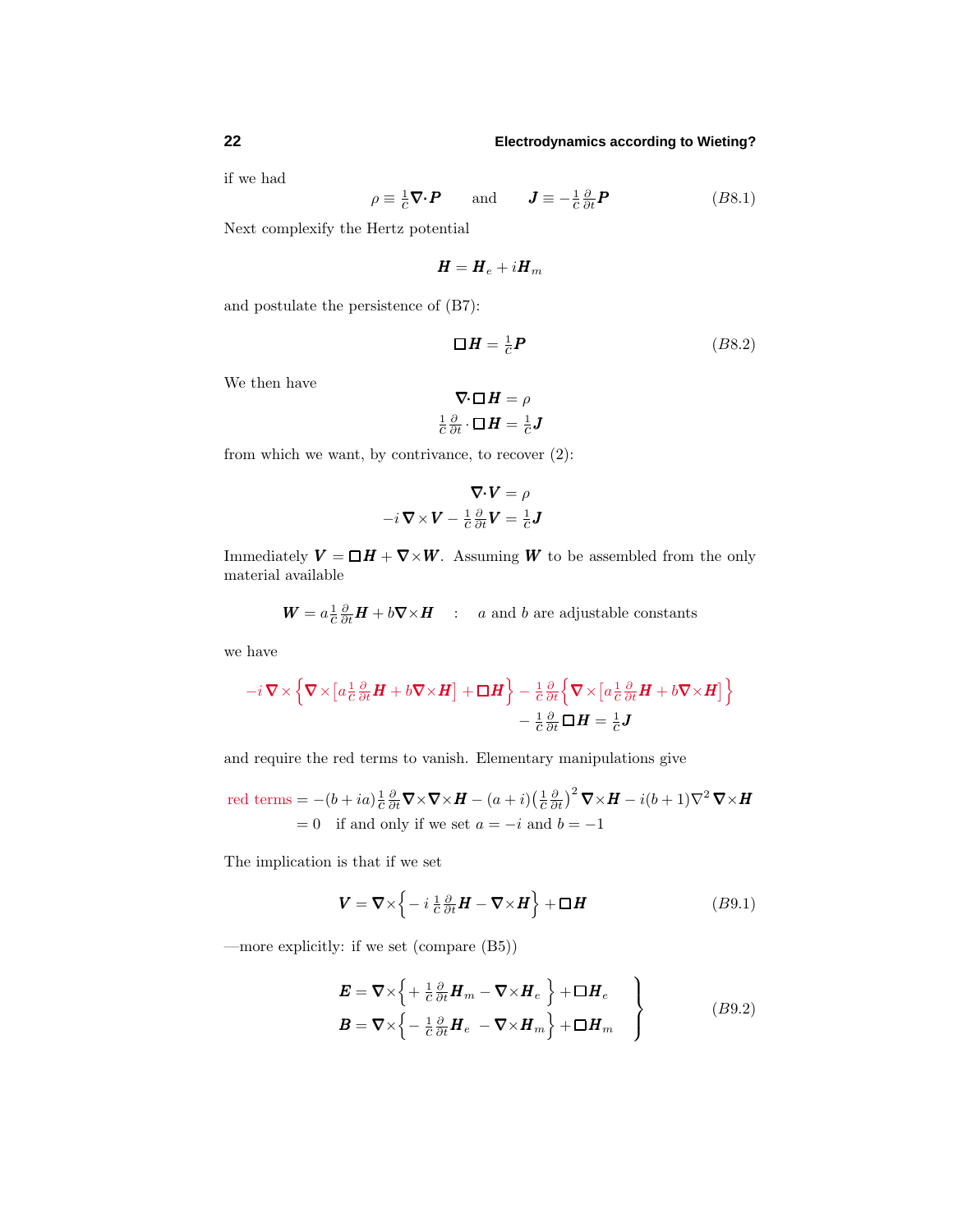if we had

$$
\rho \equiv \frac{1}{c} \nabla \cdot \boldsymbol{P} \quad \text{and} \quad \boldsymbol{J} \equiv -\frac{1}{c} \frac{\partial}{\partial t} \boldsymbol{P} \quad (B8.1)
$$

Next complexify the Hertz potential

$$
\boldsymbol{H} = \boldsymbol{H}_e + i \boldsymbol{H}_m
$$

and postulate the persistence of (B7):

$$
\Box H = \frac{1}{c}P \tag{B8.2}
$$

We then have

$$
\nabla \cdot \Box H = \rho
$$

$$
\frac{1}{c} \frac{\partial}{\partial t} \cdot \Box H = \frac{1}{c} J
$$

from which we want, by contrivance, to recover (2):

$$
\nabla \cdot \mathbf{V} = \rho
$$

$$
-i \, \nabla \times \mathbf{V} - \frac{1}{c} \frac{\partial}{\partial t} \mathbf{V} = \frac{1}{c} \mathbf{J}
$$

Immediately  $V = \Box H + \nabla \times W$ . Assuming *W* to be assembled from the only material available

 $W = a \frac{1}{c} \frac{\partial}{\partial t} H + b \nabla \times H$  : *a* and *b* are adjustable constants

we have

$$
-i\nabla\times\left\{\nabla\times\left[a\frac{1}{c}\frac{\partial}{\partial t}\boldsymbol{H}+b\nabla\times\boldsymbol{H}\right]+\square\boldsymbol{H}\right\}-\frac{1}{c}\frac{\partial}{\partial t}\left\{\nabla\times\left[a\frac{1}{c}\frac{\partial}{\partial t}\boldsymbol{H}+b\nabla\times\boldsymbol{H}\right]\right\} -\frac{1}{c}\frac{\partial}{\partial t}\square\boldsymbol{H}=\frac{1}{c}\boldsymbol{J}
$$

and require the red terms to vanish. Elementary manipulations give

red terms = 
$$
-(b + ia) \frac{1}{c} \frac{\partial}{\partial t} \nabla \times \nabla \times \boldsymbol{H} - (a + i) \left(\frac{1}{c} \frac{\partial}{\partial t}\right)^2 \nabla \times \boldsymbol{H} - i(b + 1) \nabla^2 \nabla \times \boldsymbol{H}
$$
  
= 0 if and only if we set  $a = -i$  and  $b = -1$ 

The implication is that if we set

$$
\boldsymbol{V} = \boldsymbol{\nabla} \times \left\{ -i \frac{1}{c} \frac{\partial}{\partial t} \boldsymbol{H} - \boldsymbol{\nabla} \times \boldsymbol{H} \right\} + \boldsymbol{\Box} \boldsymbol{H}
$$
 (B9.1)

—more explicitly: if we set (compare (B5))

$$
\boldsymbol{E} = \nabla \times \left\{ + \frac{1}{c} \frac{\partial}{\partial t} \boldsymbol{H}_m - \nabla \times \boldsymbol{H}_e \right\} + \boldsymbol{\Box} \boldsymbol{H}_e
$$
\n
$$
\boldsymbol{B} = \nabla \times \left\{ - \frac{1}{c} \frac{\partial}{\partial t} \boldsymbol{H}_e - \nabla \times \boldsymbol{H}_m \right\} + \boldsymbol{\Box} \boldsymbol{H}_m
$$
\n(B9.2)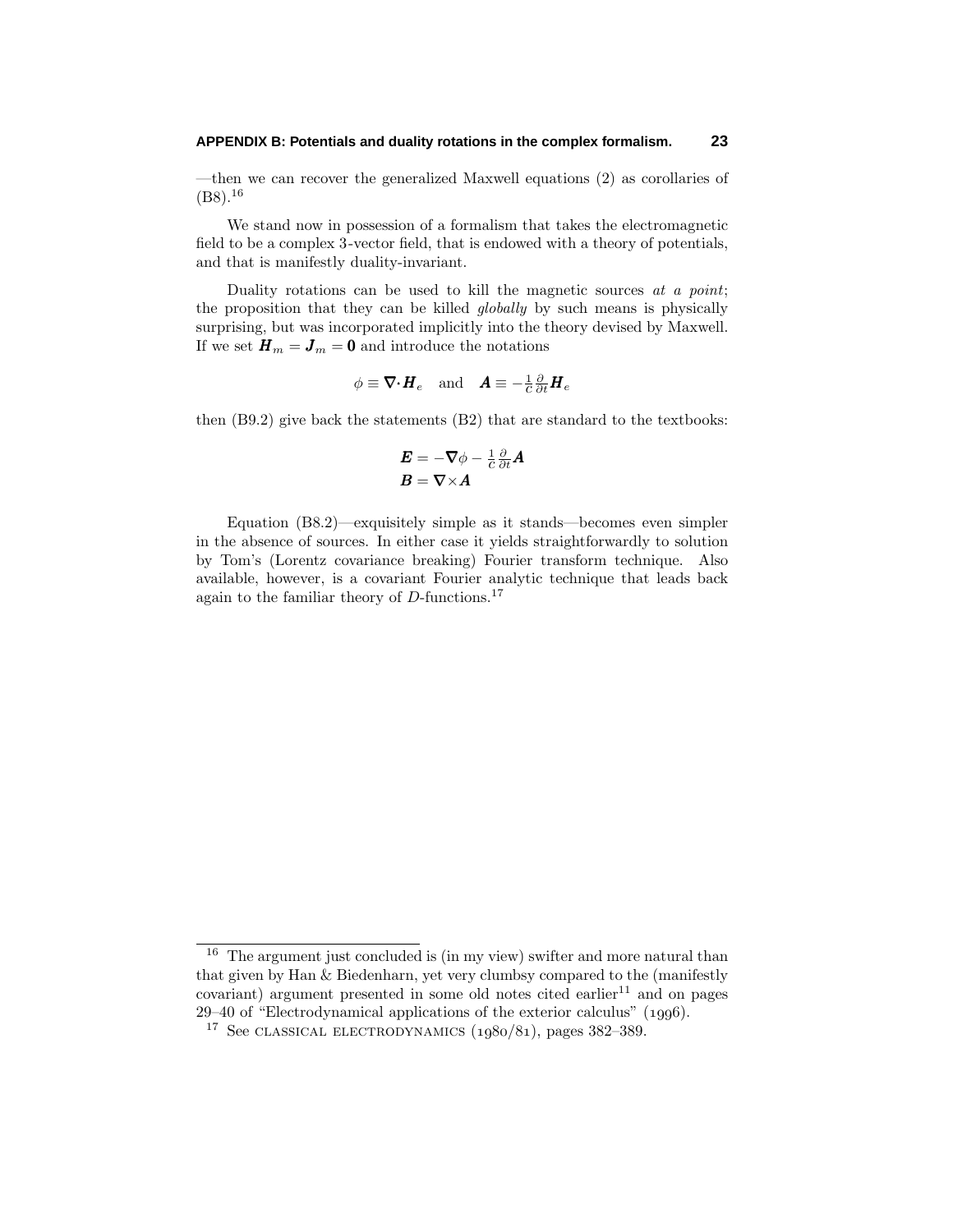#### **APPENDIX B: Potentials and duality rotations in the complex formalism. 23**

—then we can recover the generalized Maxwell equations (2) as corollaries of  $(B8).^{16}$ 

We stand now in possession of a formalism that takes the electromagnetic field to be a complex 3-vector field, that is endowed with a theory of potentials, and that is manifestly duality-invariant.

Duality rotations can be used to kill the magnetic sources  $at$   $a$   $point$ ; the proposition that they can be killed *globally* by such means is physically surprising, but was incorporated implicitly into the theory devised by Maxwell. If we set  $\mathbf{H}_m = \mathbf{J}_m = \mathbf{0}$  and introduce the notations

$$
\phi \equiv \nabla \cdot \bm{H}_e \quad \text{and} \quad \bm{A} \equiv -\frac{1}{c} \frac{\partial}{\partial t} \bm{H}_e
$$

then (B9.2) give back the statements (B2) that are standard to the textbooks:

$$
\mathbf{E} = -\nabla \phi - \frac{1}{c} \frac{\partial}{\partial t} \mathbf{A}
$$

$$
\mathbf{B} = \nabla \times \mathbf{A}
$$

Equation (B8.2)—exquisitely simple as it stands—becomes even simpler in the absence of sources. In either case it yields straightforwardly to solution by Tom's (Lorentz covariance breaking) Fourier transform technique. Also available, however, is a covariant Fourier analytic technique that leads back again to the familiar theory of *D*-functions.<sup>17</sup>

<sup>&</sup>lt;sup>16</sup> The argument just concluded is (in my view) swifter and more natural than that given by Han & Biedenharn, yet very clumbsy compared to the (manifestly  $covariant)$  argument presented in some old notes cited earlier<sup>11</sup> and on pages  $29-40$  of "Electrodynamical applications of the exterior calculus" (1996).

<sup>&</sup>lt;sup>17</sup> See CLASSICAL ELECTRODYNAMICS  $(1080/81)$ , pages 382–389.